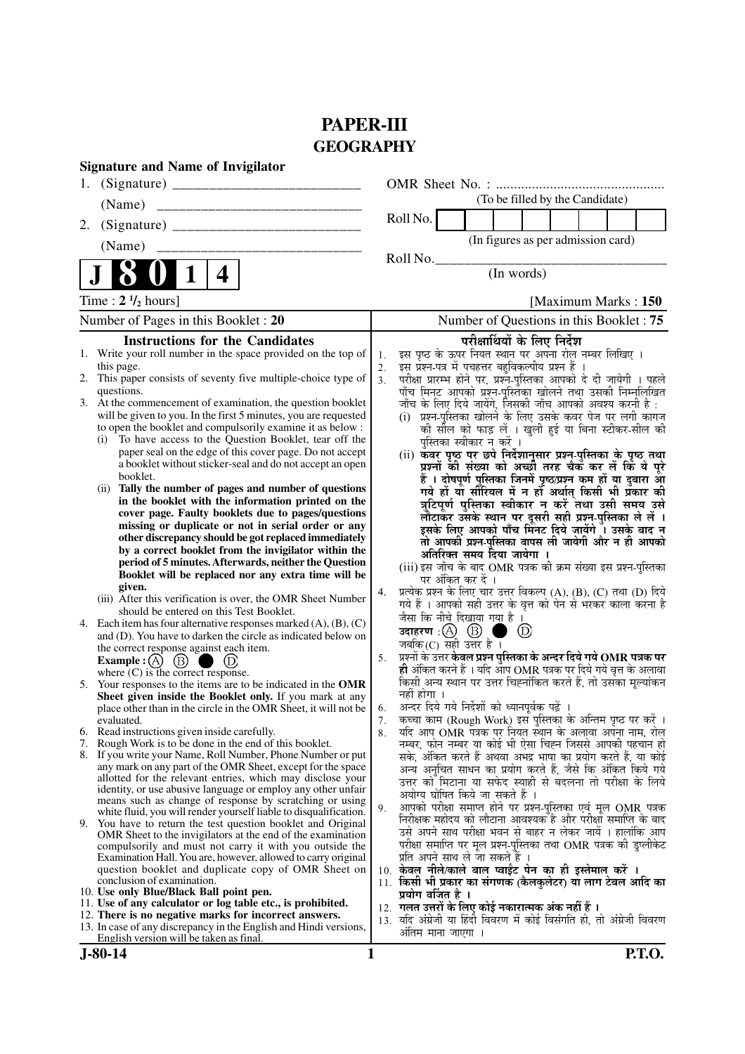# **PAPER-III GEOGRAPHY**

|    | <b>Signature and Name of Invigilator</b>                                                                                                 |                |                                                                                                                          |                                         |                            |                      |  |  |
|----|------------------------------------------------------------------------------------------------------------------------------------------|----------------|--------------------------------------------------------------------------------------------------------------------------|-----------------------------------------|----------------------------|----------------------|--|--|
| 1. |                                                                                                                                          |                |                                                                                                                          |                                         |                            |                      |  |  |
|    | (Name)                                                                                                                                   |                |                                                                                                                          | (To be filled by the Candidate)         |                            |                      |  |  |
| 2. |                                                                                                                                          |                | Roll No.                                                                                                                 |                                         |                            |                      |  |  |
|    | (Name)                                                                                                                                   |                |                                                                                                                          | (In figures as per admission card)      |                            |                      |  |  |
|    |                                                                                                                                          |                | Roll No.                                                                                                                 |                                         |                            |                      |  |  |
|    | 4                                                                                                                                        |                |                                                                                                                          | (In words)                              |                            |                      |  |  |
|    | Time : $2 \frac{1}{2}$ hours]                                                                                                            |                |                                                                                                                          |                                         |                            | [Maximum Marks: 150] |  |  |
|    | Number of Pages in this Booklet: 20                                                                                                      |                |                                                                                                                          | Number of Questions in this Booklet: 75 |                            |                      |  |  |
|    | <b>Instructions for the Candidates</b>                                                                                                   |                |                                                                                                                          | परीक्षार्थियों के लिए निर्देश           |                            |                      |  |  |
|    | 1. Write your roll number in the space provided on the top of                                                                            | 1.             | इस पृष्ठ के ऊपर नियत स्थान पर अपना रोल नम्बर लिखिए ।                                                                     |                                         |                            |                      |  |  |
|    | this page.                                                                                                                               | 2.             | इस प्रश्न-पत्र में पचहत्तर बहुविकल्पीय प्रश्न हैं ।                                                                      |                                         |                            |                      |  |  |
|    | 2. This paper consists of seventy five multiple-choice type of<br>questions.                                                             | 3 <sub>1</sub> | परीक्षा प्रारम्भ होने पर, प्रश्न-पुस्तिका आपको दे दी जायेगी । पहले                                                       |                                         |                            |                      |  |  |
|    | 3. At the commencement of examination, the question booklet                                                                              |                | पाँच मिनट आपको प्रश्न-पुस्तिका खोलने तथा उसकी निम्नलिखित<br>जाँच के लिए दिये जायेंगे, जिसकी जाँच आपको अवश्य करनी है :    |                                         |                            |                      |  |  |
|    | will be given to you. In the first 5 minutes, you are requested                                                                          |                | (i) प्रश्न-पुस्तिका खोलने के लिए उसके कवर पेज पर लगी कागज                                                                |                                         |                            |                      |  |  |
|    | to open the booklet and compulsorily examine it as below :                                                                               |                | को सौल को फाड़ लें । खुली हुई या बिना स्टीकर-सील की                                                                      |                                         |                            |                      |  |  |
|    | To have access to the Question Booklet, tear off the<br>(i)                                                                              |                | पुस्तिका स्वीकार न करें ।                                                                                                |                                         |                            |                      |  |  |
|    | paper seal on the edge of this cover page. Do not accept                                                                                 |                | (ii) कवर पृष्ठ पर छपे निर्देशानुसार प्रश्न-पुस्तिका के पृष्ठ तथा                                                         |                                         |                            |                      |  |  |
|    | a booklet without sticker-seal and do not accept an open<br>booklet.                                                                     |                | प्रश्नों की संख्या को अच्छी तरह चैक कर लें कि ये पूरे                                                                    |                                         |                            |                      |  |  |
|    | Tally the number of pages and number of questions<br>(i)                                                                                 |                | हैं । दोषपूर्ण पुस्तिका जिनमें पृष्ठ/प्रश्न कम हों या दुबारा आ<br>गये हों यो सीरियल में न हों अर्थात् किसी भी प्रॅकार की |                                         |                            |                      |  |  |
|    | in the booklet with the information printed on the                                                                                       |                | त्रुटिपूर्ण पुस्तिका स्वीकार न करें तथा उसी समय उसे                                                                      |                                         |                            |                      |  |  |
|    | cover page. Faulty booklets due to pages/questions                                                                                       |                | लौटाकेर उसके स्थान पर दूसरी सही प्रश्न-पुस्तिका ले लें ।                                                                 |                                         |                            |                      |  |  |
|    | missing or duplicate or not in serial order or any                                                                                       |                | इसके लिए आपको पाँच मिनट दिये जायेंगे ँ। उसके बाद न                                                                       |                                         |                            |                      |  |  |
|    | other discrepancy should be got replaced immediately                                                                                     |                | तो आपकी प्रश्न-पुस्तिका वापस ली जायेगी और न ही आपको                                                                      |                                         |                            |                      |  |  |
|    | by a correct booklet from the invigilator within the<br>period of 5 minutes. Afterwards, neither the Question                            |                | अतिरिक्त समय दिया जायेगा ।                                                                                               |                                         |                            |                      |  |  |
|    | Booklet will be replaced nor any extra time will be                                                                                      |                | (iii) इस जाँच के बाद OMR पत्रक की क्रम संख्या इस प्रश्न-पुस्तिका                                                         |                                         |                            |                      |  |  |
|    | given.                                                                                                                                   | 4.             | पर अंकित कर दें ।<br>प्रत्येक प्रश्न के लिए चार उत्तर विकल्प (A), (B), (C) तथा (D) दिये                                  |                                         |                            |                      |  |  |
|    | (iii) After this verification is over, the OMR Sheet Number                                                                              |                | गये हैं । आपको सही उत्तर के वृत्त को पेन से भरकर काला करना है                                                            |                                         |                            |                      |  |  |
|    | should be entered on this Test Booklet.                                                                                                  |                | जैसा कि नीचे दिखाया गया है ।                                                                                             |                                         |                            |                      |  |  |
|    | 4. Each item has four alternative responses marked $(A)$ , $(B)$ , $(C)$<br>and (D). You have to darken the circle as indicated below on |                | उदाहरण $\,$ :( $\,$ ) $\,$ ( $\,$ ) $\,$                                                                                 |                                         | $\circled{\scriptstyle D}$ |                      |  |  |
|    | the correct response against each item.                                                                                                  |                | जबकि $(C)$ सही उत्तर है ।                                                                                                |                                         |                            |                      |  |  |
|    | Example : $(A)$ (B)                                                                                                                      | 5.             | प्रश्नों के उत्तर <b>केवल प्रश्न पुस्तिका के अन्दर दिये गये OMR पत्रक पर</b>                                             |                                         |                            |                      |  |  |
|    | where $(C)$ is the correct response.                                                                                                     |                | ही अंकित करने हैं । यदि आप OMR पत्रक पर दिये गये वृत्त के अलावा                                                          |                                         |                            |                      |  |  |
| 5. | Your responses to the items are to be indicated in the OMR                                                                               |                | किसी अन्य स्थान पर उत्तर चिह्नांकित करते हैं, तो उसका मूल्यांकन<br>नहीं होगा ।                                           |                                         |                            |                      |  |  |
|    | Sheet given inside the Booklet only. If you mark at any<br>place other than in the circle in the OMR Sheet, it will not be               | 6.             | अन्दर दिये गये निर्देशों को ध्यानपूर्वक पढ़ें ।                                                                          |                                         |                            |                      |  |  |
|    | evaluated.                                                                                                                               | 7.             | कृत्वा काम (Rough Work) इस पुस्तिका के अन्तिम पृष्ठ पर करें ।                                                            |                                         |                            |                      |  |  |
|    | 6. Read instructions given inside carefully.                                                                                             | 8.             | यदि आप OMR पत्रक पर नियत स्थान के अलावा अपना नाम, रोल                                                                    |                                         |                            |                      |  |  |
|    | 7. Rough Work is to be done in the end of this booklet.                                                                                  |                | नम्बर, फोन नम्बर या कोई भी ऐसा चिह्न जिससे आपकी पहचान हो                                                                 |                                         |                            |                      |  |  |
|    | 8. If you write your Name, Roll Number, Phone Number or put<br>any mark on any part of the OMR Sheet, except for the space               |                | सके, अंकित करते हैं अथवा अभद्र भाषा का प्रयोग करते हैं, या कोई                                                           |                                         |                            |                      |  |  |
|    | allotted for the relevant entries, which may disclose your                                                                               |                | अन्य अनुचित साधन का प्रयोग करते हैं, जैसे कि अंकित किये गये                                                              |                                         |                            |                      |  |  |
|    | identity, or use abusive language or employ any other unfair                                                                             |                | उत्तर को मिटाना या सफेद स्याही से बदलना तो परीक्षा के लिये<br>अयोग्य घोषित किये जा सकते हैं ।                            |                                         |                            |                      |  |  |
|    | means such as change of response by scratching or using                                                                                  | 9.             | आपको परीक्षा समाप्त होने पर प्रश्न-पुस्तिका एवं मूल OMR पत्रक                                                            |                                         |                            |                      |  |  |
|    | white fluid, you will render yourself liable to disqualification.<br>9. You have to return the test question booklet and Original        |                | निरीक्षक महोदय को लौटाना आवश्यक है और परीक्षा समाप्ति के बाद                                                             |                                         |                            |                      |  |  |
|    | OMR Sheet to the invigilators at the end of the examination                                                                              |                | उसे अपने साथ परीक्षा भवन से बाहर न लेकर जायें । हालांकि आप                                                               |                                         |                            |                      |  |  |
|    | compulsorily and must not carry it with you outside the                                                                                  |                | परीक्षा समाप्ति पर मूल प्रश्न-पुस्तिका तथा OMR पत्रक की डुप्लीकेट                                                        |                                         |                            |                      |  |  |
|    | Examination Hall. You are, however, allowed to carry original                                                                            |                | प्रति अपने साथ ले जा सकते हैं ।                                                                                          |                                         |                            |                      |  |  |
|    | question booklet and duplicate copy of OMR Sheet on<br>conclusion of examination.                                                        |                | 10. केवल नीले/काले बाल प्वाईंट पेन का ही इस्तेमाल करें ।<br>11. किसी भी प्रकार का संगणक (कैलकुलेटर) या लाग टेबल आदि का   |                                         |                            |                      |  |  |
|    | 10. Use only Blue/Black Ball point pen.                                                                                                  |                | प्रयोग वर्जित है ।                                                                                                       |                                         |                            |                      |  |  |
|    | 11. Use of any calculator or log table etc., is prohibited.                                                                              |                | 12.  गलत उत्तरों के लिए कोई नकारात्मक अंक नहीं हैं ।                                                                     |                                         |                            |                      |  |  |
|    | 12. There is no negative marks for incorrect answers.                                                                                    |                | 13. यदि अंग्रेजी या हिंदी विवरण में कोई विसंगति हो, तो अंग्रेजी विवरण                                                    |                                         |                            |                      |  |  |
|    | 13. In case of any discrepancy in the English and Hindi versions,<br>English version will be taken as final.                             |                | अंतिम माना जाएगा ।                                                                                                       |                                         |                            |                      |  |  |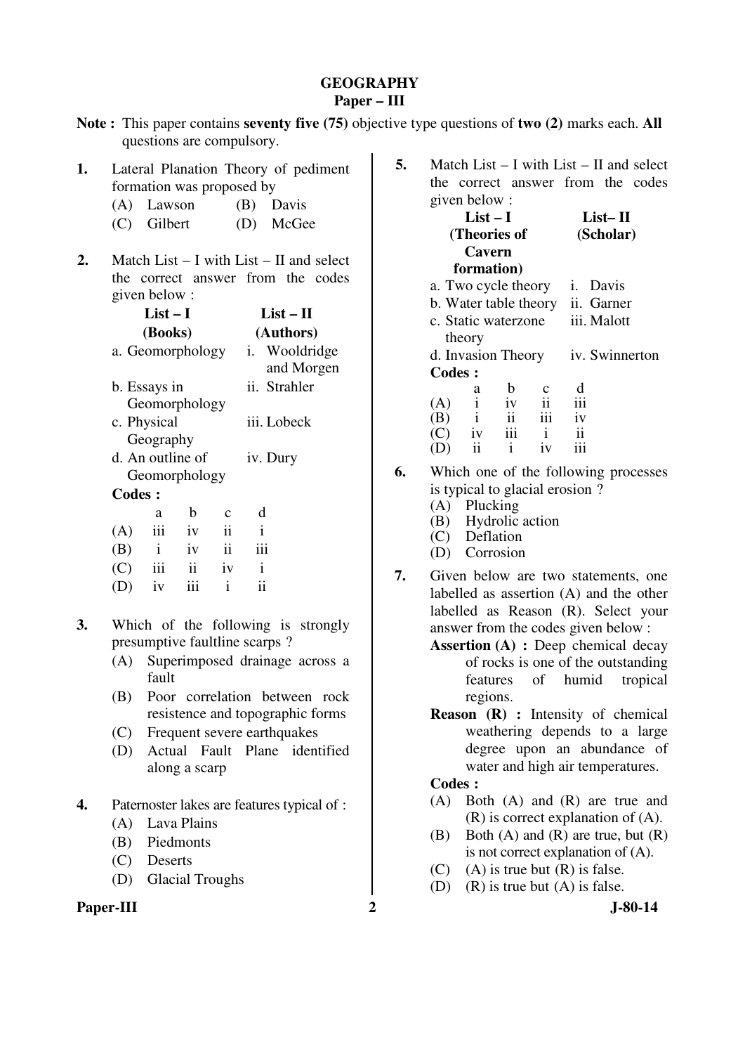### **GEOGRAPHY Paper – III**

| Note: This paper contains seventy five (75) objective type questions of two (2) marks each. All |  |
|-------------------------------------------------------------------------------------------------|--|
| questions are compulsory.                                                                       |  |

- **1.** Lateral Planation Theory of pediment formation was proposed by
	- (A) Lawson (B) Davis
	- (C) Gilbert (D) McGee
- **2.** Match List I with List II and select the correct answer from the codes given below :

|               | List – I     | $List - II$      |                     |               |                          |
|---------------|--------------|------------------|---------------------|---------------|--------------------------|
|               | (Books)      |                  |                     | (Authors)     |                          |
|               |              | a. Geomorphology |                     | $i_{\cdot}$   | Wooldridge<br>and Morgen |
|               | b. Essays in |                  |                     | ii. Strahler  |                          |
|               |              | Geomorphology    |                     |               |                          |
|               | c. Physical  |                  |                     | iii. Lobeck   |                          |
|               | Geography    |                  |                     |               |                          |
|               |              | d. An outline of |                     | iv. Dury      |                          |
|               |              | Geomorphology    |                     |               |                          |
| <b>Codes:</b> |              |                  |                     |               |                          |
|               | a            | b                | $\mathbf c$         | d             |                          |
| (A)           | iii          | iv               | $\ddot{\mathbf{i}}$ | i             |                          |
| (B)           | $\mathbf{i}$ | iv               | $\mathbf{ii}$       | iii           |                          |
| (C)           | iii          | ii               | iv                  | i             |                          |
| (D)           | iv           | iii              | $\mathbf{i}$        | $\mathbf{ii}$ |                          |

- **3.** Which of the following is strongly presumptive faultline scarps ?
	- (A) Superimposed drainage across a fault
	- (B) Poor correlation between rock resistence and topographic forms
	- (C) Frequent severe earthquakes
	- (D) Actual Fault Plane identified along a scarp
- **4.** Paternoster lakes are features typical of :
	- (A) Lava Plains
	- (B) Piedmonts
	- (C) Deserts
	- (D) Glacial Troughs

## **Paper-III** 2 J-80-14

**5.** Match List – I with List – II and select the correct answer from the codes given below :

|               | $List-I$     | $List-II$           |     |                                  |  |
|---------------|--------------|---------------------|-----|----------------------------------|--|
|               | (Theories of | (Scholar)           |     |                                  |  |
|               | Cavern       |                     |     |                                  |  |
|               | formation)   |                     |     |                                  |  |
|               |              | a. Two cycle theory |     | <i>i</i> . Davis                 |  |
|               |              |                     |     | b. Water table theory ii. Garner |  |
|               |              | c. Static waterzone |     | iii. Malott                      |  |
|               | theory       |                     |     |                                  |  |
|               |              | d. Invasion Theory  |     | iv. Swinnerton                   |  |
| <b>Codes:</b> |              |                     |     |                                  |  |
|               | a            | b                   |     |                                  |  |
| (A)           | $\mathbf{i}$ | iv                  | ii  | iii                              |  |
| (B)           | $\mathbf{i}$ | ii                  | iii | iv                               |  |
| $\Gamma$      | 1V           | iii                 | i   | ij                               |  |
|               |              | i                   | iv  |                                  |  |
|               |              |                     |     |                                  |  |

**6.** Which one of the following processes is typical to glacial erosion ?

- (A) Plucking
- (B) Hydrolic action
- (C) Deflation
- (D) Corrosion
- **7.** Given below are two statements, one labelled as assertion (A) and the other labelled as Reason (R). Select your answer from the codes given below :
	- **Assertion (A)** : Deep chemical decay of rocks is one of the outstanding features of humid tropical regions.
	- **Reason (R) :** Intensity of chemical weathering depends to a large degree upon an abundance of water and high air temperatures.

- (A) Both (A) and (R) are true and (R) is correct explanation of (A).
- (B) Both  $(A)$  and  $(R)$  are true, but  $(R)$ is not correct explanation of (A).
- (C) (A) is true but  $(R)$  is false.
- (D) (R) is true but (A) is false.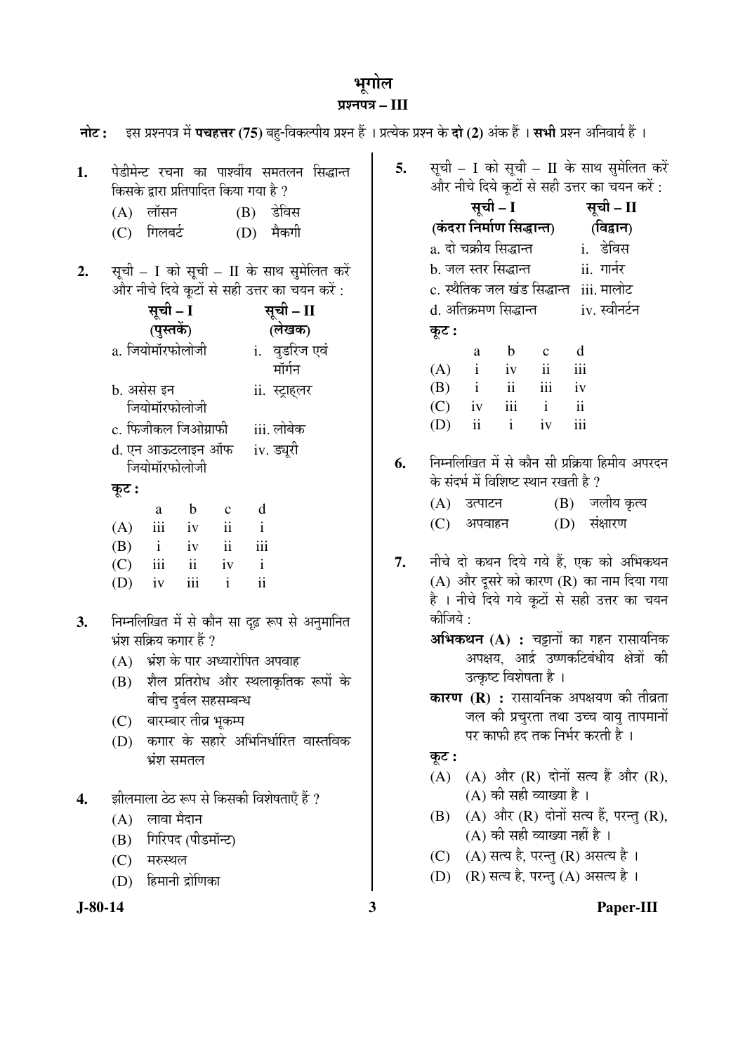## भूगोल ¯ÖÏ¿®Ö¯Ö¡Ö **– III**

|           | नोट: इस प्रश्नपत्र में पचहत्तर (75) बहु-विकल्पीय प्रश्न हैं । प्रत्येक प्रश्न के दो (2) अंक हैं । सभी प्रश्न अनिवार्य हैं । |    |                                                                                            |
|-----------|-----------------------------------------------------------------------------------------------------------------------------|----|--------------------------------------------------------------------------------------------|
| 1.        | पेडीमेन्ट रचना का पार्श्वीय समतलन सिद्धान्त<br>किसके द्वारा प्रतिपादित किया गया है ?                                        | 5. | सूची – I को सूची – II के साथ सुमेलित करें<br>और नीचे दिये कूटों से सही उत्तर का चयन करें : |
|           | लॉसन<br>$(B)$ डेविस<br>(A)                                                                                                  |    | सूची – I<br>सूची – II                                                                      |
|           | (C) गिलबर्ट<br>$(D)$ मैकगी                                                                                                  |    | (कंदरा निर्माण सिद्धान्त)<br>(विद्वान)                                                     |
|           |                                                                                                                             |    | a. दो चक्रीय सिद्धान्त           i.   डेविस                                                |
| 2.        | सूची - I को सूची - II के साथ सुमेलित करें                                                                                   |    | b. जल स्तर सिद्धान्त   ii. गार्नर                                                          |
|           | और नीचे दिये कूटों से सही उत्तर का चयन करें :                                                                               |    | c. स्थैतिक जल खंड सिद्धान्त iii. मालोट                                                     |
|           | सूची – I<br>सूची – II                                                                                                       |    | d. अतिक्रमण सिद्धान्त           iv. स्वीनर्टन                                              |
|           | (पुस्तकें)<br>(लेखक)                                                                                                        |    | कूट :                                                                                      |
|           | a. जियोमॉरफोलोजी<br>i.  वुडरिज एवं                                                                                          |    | d<br>$\mathbf b$<br>a<br>$\mathbf{c}$                                                      |
|           | मॉर्गन                                                                                                                      |    | iii<br>$\mathbf{i}$<br>(A)<br>$\ddot{\mathbf{i}}$<br>iv                                    |
|           | b. असेस इन<br>ii. स्ट्राहलर                                                                                                 |    | iii<br>ii<br>(B)<br>iv<br>$\mathbf{i}$<br>iii<br>$\mathbf{i}$                              |
|           | जियोमॉरफोलोजी                                                                                                               |    | $\mathbf{ii}$<br>(C)<br>iv<br>iii<br>ii<br>$\mathbf{i}$<br>(D)<br>iv                       |
|           | c. फिजीकल जिओग्राफी<br>iii. लोबेक                                                                                           |    |                                                                                            |
|           | d. एन आऊटलाइन ऑफ<br>iv. ड्यूरी<br>जियोमॉरफोलोजी                                                                             | 6. | निम्नलिखित में से कौन सी प्रक्रिया हिमीय अपरदन<br>के संदर्भ में विशिष्ट स्थान रखती है ?    |
|           | कूट :                                                                                                                       |    | (B) जलीय कृत्य<br>(A) उत्पाटन                                                              |
|           | d<br>b<br>$\mathbf{C}$<br>a                                                                                                 |    | (D) संक्षारण<br>(C)<br>अपवाहन                                                              |
|           | $\mathbf{ii}$<br>iii<br>(A)<br>$\mathbf{i}$<br>iv<br>$\overline{\mathbf{u}}$<br>iii<br>(B)<br>$\mathbf{i}$<br>iv            |    |                                                                                            |
|           | ii<br>(C)<br>iii<br>$\mathbf{i}$<br>iv                                                                                      | 7. | नीचे दो कथन दिये गये हैं, एक को अभिकथन                                                     |
|           | $\ddot{\rm ii}$<br>iii<br>$\mathbf{i}$<br>(D)<br>iv                                                                         |    | $(A)$ और दूसरे को कारण $(R)$ का नाम दिया गया                                               |
|           |                                                                                                                             |    | है । नीचे दिये गये कूटों से सही उत्तर का चयन                                               |
| 3.        | निम्नलिखित में से कौन सा दृढ़ रूप से अनुमानित                                                                               |    | कीजिये :                                                                                   |
|           | भ्रंश सक्रिय कगार हैं ?                                                                                                     |    | अभिकथन (A) : चट्टानों का गहन रासायनिक                                                      |
|           | (A) भ्रंश के पार अध्यारोपित अपवाह                                                                                           |    | अपक्षय, आर्द्र उष्णकटिबंधीय क्षेत्रों की<br>उत्कृष्ट विशेषता है ।                          |
|           | (B) शैल प्रतिरोध और स्थलाकृतिक रूपों के                                                                                     |    | <b>कारण (R) :</b> रासायनिक अपक्षयण की तीव्रता                                              |
|           | बीच दुर्बल सहसम्बन्ध<br>बारम्बार तीव्र भूकम्प<br>(C)                                                                        |    | जल की प्रचुरता तथा उच्च वायु तापमानों                                                      |
|           | कगार के सहारे अभिनिर्धारित वास्तविक<br>(D)                                                                                  |    | पर काफी हद तक निर्भर करती है ।                                                             |
|           | भ्रंश समतल                                                                                                                  |    | कूट :                                                                                      |
|           |                                                                                                                             |    | (A) और (R) दोनों सत्य हैं और (R),<br>(A)                                                   |
| 4.        | झीलमाला ठेठ रूप से किसकी विशेषताएँ हैं ?                                                                                    |    | (A) की सही व्याख्या है ।                                                                   |
|           | लावा मैदान<br>(A)                                                                                                           |    | (A) और (R) दोनों सत्य हैं, परन्तु (R),<br>(B)                                              |
|           | गिरिपद (पीडमॉन्ट)<br>(B)                                                                                                    |    | (A) की सही व्याख्या नहीं है ।                                                              |
|           | (C)<br>मरुस्थल                                                                                                              |    | (A) सत्य है, परन्तु (R) असत्य है ।<br>(C)                                                  |
|           | हिमानी द्रोणिका<br>(D)                                                                                                      |    | (R) सत्य है, परन्तु (A) असत्य है।<br>(D)                                                   |
| $J-80-14$ |                                                                                                                             | 3  | Paper-III                                                                                  |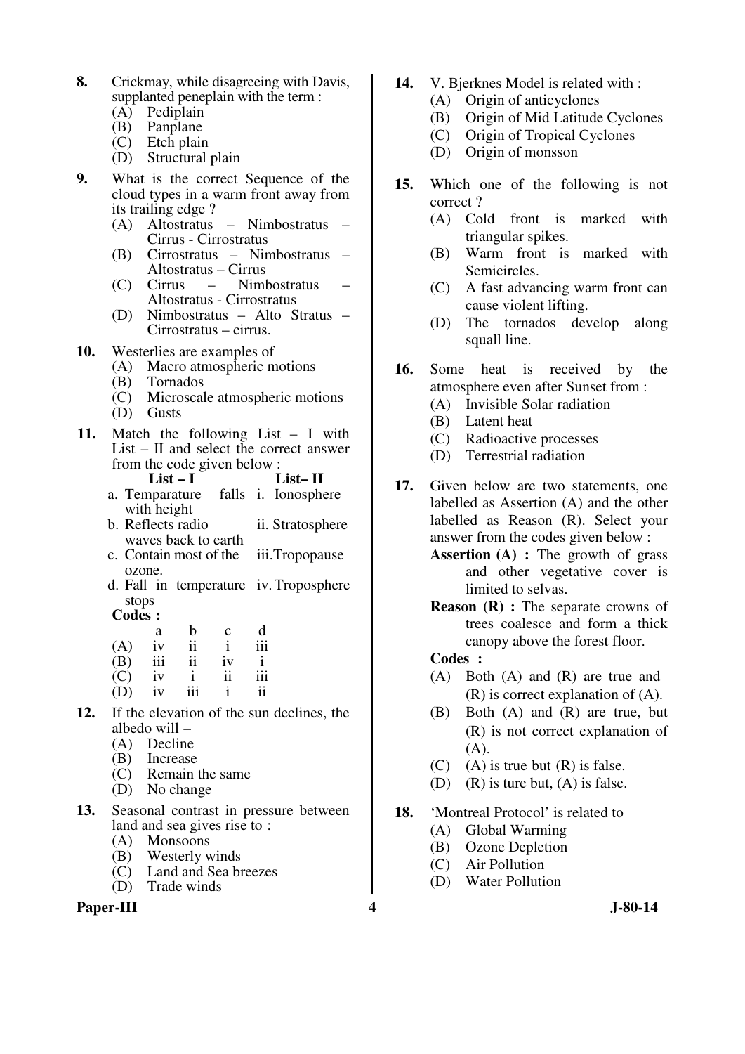- **8.** Crickmay, while disagreeing with Davis, supplanted peneplain with the term :
	- (A) Pediplain
	- (B) Panplane
	- (C) Etch plain
	- (D) Structural plain
- **9.** What is the correct Sequence of the cloud types in a warm front away from its trailing edge ?
	- (A) Altostratus Nimbostratus Cirrus - Cirrostratus
	- (B) Cirrostratus Nimbostratus Altostratus – Cirrus
	- $(C)$  Cirrus Altostratus - Cirrostratus
	- (D) Nimbostratus Alto Stratus Cirrostratus – cirrus.
- **10.** Westerlies are examples of
	- (A) Macro atmospheric motions
	- (B) Tornados
	- (C) Microscale atmospheric motions
	- (D) Gusts
- **11.** Match the following List I with List – II and select the correct answer from the code given below :
	- **List I List– II**
	- a. Temparature falls i. Ionosphere with height
	- b. Reflects radio waves back to earth ii. Stratosphere
	- c. Contain most of the ozone. iii.Tropopause
	- d. Fall in temperature iv. Troposphere stops

 $\text{Codes}:$ 

|     | a   | b   | $\mathbf c$ | d   |
|-----|-----|-----|-------------|-----|
| (A) | iv  | ii  |             | iii |
| (B) | 111 | ii  | iv          | i   |
| (C) | iv  |     | ii          | 111 |
| (D) | iv  | iii |             | ii  |

- **12.** If the elevation of the sun declines, the albedo will –
	- (A) Decline<br>(B) Increase
	- **Increase**
	- (C) Remain the same
	- (D) No change
- **13.** Seasonal contrast in pressure between land and sea gives rise to :
	- (A) Monsoons
	- (B) Westerly winds
	- (C) Land and Sea breezes
	- (D) Trade winds

#### **Paper-III 4 J-80-14**

- **14.** V. Bjerknes Model is related with :
	- (A) Origin of anticyclones
	- (B) Origin of Mid Latitude Cyclones
	- (C) Origin of Tropical Cyclones
	- (D) Origin of monsson
- **15.** Which one of the following is not correct ?
	- (A) Cold front is marked with triangular spikes.
	- (B) Warm front is marked with Semicircles.
	- (C) A fast advancing warm front can cause violent lifting.
	- (D) The tornados develop along squall line.
- **16.** Some heat is received by the atmosphere even after Sunset from :
	- (A) Invisible Solar radiation
	- (B) Latent heat
	- (C) Radioactive processes
	- (D) Terrestrial radiation
- **17.** Given below are two statements, one labelled as Assertion (A) and the other labelled as Reason (R). Select your answer from the codes given below :
	- **Assertion (A)** : The growth of grass and other vegetative cover is limited to selvas.
	- **Reason (R) :** The separate crowns of trees coalesce and form a thick canopy above the forest floor.

- (A) Both (A) and  $(R)$  are true and (R) is correct explanation of (A).
- $(B)$  Both  $(A)$  and  $(R)$  are true, but (R) is not correct explanation of (A).
- $(C)$  (A) is true but  $(R)$  is false.
- (D) (R) is ture but, (A) is false.
- **18.** 'Montreal Protocol' is related to
	- (A) Global Warming
	- (B) Ozone Depletion
	- (C) Air Pollution
	- (D) Water Pollution
-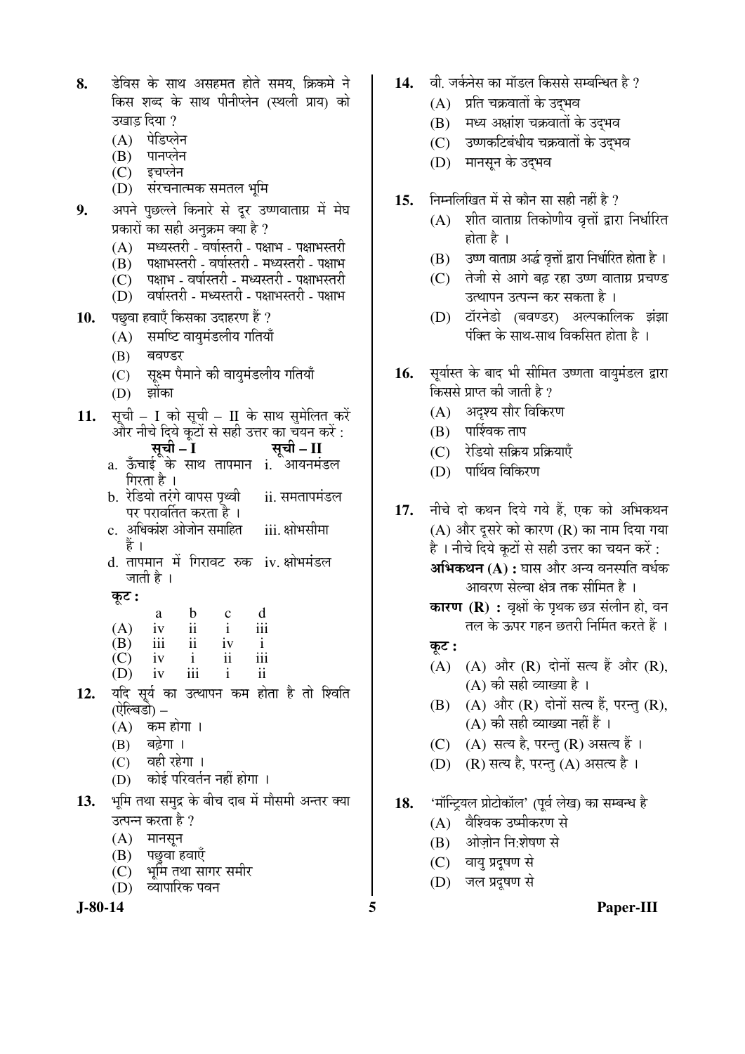|     | उखाड़ दिया ?                                                                              |
|-----|-------------------------------------------------------------------------------------------|
|     | (A) पेडिप्लेन                                                                             |
|     |                                                                                           |
|     | (B) पानप्लेन<br>(C) इचप्लेन                                                               |
|     | (D) संरचनात्मक समतल भूमि                                                                  |
| 9.  | अपने पुछल्ले किनारे से दूर उष्णवाताग्र में मेघ                                            |
|     | प्रकारों का सही अनुक्रम क्या है ?                                                         |
|     | (A) मध्यस्तरी - वर्षास्तरी - पक्षाभ - पक्षाभस्तरी                                         |
|     | (B) पक्षाभस्तरी - वर्षास्तरी - मध्यस्तरी - पक्षाभ                                         |
|     | (C) पक्षाभ - वर्षास्तरी - मध्यस्तरी - पक्षाभस्तरी                                         |
|     | (D) वर्षास्तरी - मध्यस्तरी - पक्षाभस्तरी - पक्षाभ                                         |
| 10. | पछुवा हवाएँ किसका उदाहरण हैं ?                                                            |
|     | (A) समष्टि वायुमंडलीय गतियाँ                                                              |
|     | (B)<br>बवण्डर                                                                             |
|     | (C) सूक्ष्म पैमाने की वायुमंडलीय गतियाँ                                                   |
|     | (D) झोंका                                                                                 |
| 11. | सूची - I को सूची - II के साथ सुमेलित करें                                                 |
|     | और नीचे दिये कूटों से सही उत्तर का चयन करें :                                             |
|     | रसूची – I सूची – II<br>a. ऊँचाई के साथ तापमान i. आयनमंडल                                  |
|     |                                                                                           |
|     | गिरता है ।                                                                                |
|     | b.  रेडियो तरंगे वापस पृथ्वी<br>ii. समतापमंडल<br>पर परावर्तित करता है ।                   |
|     | अधिकांश ओजोन समाहित<br>iii. क्षोभसीमा                                                     |
|     | हैं ।                                                                                     |
|     | d. तापमान में गिरावट रुक iv. क्षोभमंडल                                                    |
|     | जाती है ।                                                                                 |
|     | कूट :                                                                                     |
|     | $\frac{b}{ii}$<br>$\frac{ii}{i}$<br>d<br>$\begin{matrix} c \\ i \end{matrix}$<br>a<br>iii |
|     | $(A)$ iv<br>$(B)$ iii<br>iv<br>$\mathbf{i}$                                               |
|     | iv<br>iii<br>$\overline{C}$<br>$\mathbf{i}$<br>$\ddot{\rm n}$                             |
|     | iv iii<br>$\mathbf{i}$<br>$\overline{\mathbf{1}}$<br>(D)                                  |
|     | 12. यदि सूर्य का उत्थापन कम होता है तो श्विति<br>(ऐल्बिडो) –                              |
|     |                                                                                           |
|     | (A) कम होगा ।<br>(B) बढ़ेगा ।                                                             |
|     |                                                                                           |
|     | (C) वही रहेगा ।                                                                           |
|     | (D) कोई परिवर्तन नहीं होगा।                                                               |
|     | 13. भूमि तथा समुद्र के बीच दाब में मौसमी अन्तर क्या                                       |
|     | उत्पन्न करता है ?                                                                         |
|     | $(A)$ मानसून                                                                              |
|     | (B) पछुवा हवाएँ<br>(C) भूमि तूथा सागर समीर                                                |
|     | (D) व्यापारिक पवन                                                                         |
|     |                                                                                           |

8. हेविस के साथ असहमत होते समय. क्रिकमे ने

किस शब्द के साथ पीनीप्लेन (स्थली प्राय) को

- 14. al. जर्कनेस का मॉडल किससे सम्बन्धित है ?
	- $(A)$  प्रति चक्रवातों के उदभव
	- $(B)$  मध्य अक्षांश चक्रवातों के उद्भव
	- (C) उष्णकटिबंधीय चक्रवातों के उद्भव
	- (D) मानसून के उद्भव
- 15. निम्नलिखित में से कौन सा सही नहीं है ?
	- $(A)$  शीत वाताग्र तिकोणीय वृत्तों द्वारा निर्धारित होता है ।
	- (B) उष्ण वाताग्र अर्द्ध वृत्तों द्वारा निर्धारित होता है ।
	- (C) तेजी से आगे बढ़ रहा उष्ण वाताग्र प्रचण्ड उत्थापन उत्पन्न कर सकता है ।
	- (D) टॉरनेडो (बवण्डर) अल्पकालिक झंझा पंक्ति के साथ-साथ विकसित होता है ।
- 16. सूर्यास्त के बाद भी सीमित उष्णता वायुमंडल द्वारा किससे प्राप्त की जाती है ?
	- (A) अदृश्य सौर विकिरण
	- $(B)$  पार्श्विक ताप
	- (C) रेडियो सक्रिय प्रक्रियाएँ
	- (D) पार्थिव विकिरण
- 17. नीचे दो कथन दिये गये हैं. एक को अभिकथन  $(A)$  और दूसरे को कारण  $(R)$  का नाम दिया गया है। नीचे दिये कुटों से सही उत्तर का चयन करें :

**अभिकथन (A) :** घास और अन्य वनस्पति वर्धक आवरण सेल्वा क्षेत्र तक सीमित है ।

- **कारण (R) :** वृक्षों के पृथक छत्र संलीन हो, वन तल के ऊपर गहन छतरी निर्मित करते हैं ।
- कूट :
- (A)  $(A)$  और  $(R)$  दोनों सत्य हैं और  $(R)$ , (A) की सही व्याख्या है ।
- $(B)$   $(A)$  और  $(R)$  दोनों सत्य हैं, परन्तु  $(R)$ , (A) की सही व्याख्या नहीं हैं ।
- $(C)$   $(A)$  सत्य है, परन्तु  $(R)$  असत्य हैं ।
- (D) (R) सत्य है, परन्तु (A) असत्य है।
- 18. 'मॉन्ट्रियल प्रोटोकॉल' (पूर्व लेख) का सम्बन्ध है
	- (A) वैश्विक उष्मीकरण से
	- (B) ओजोन नि:शेषण से
	- (C) वायु प्रदूषण से
	- (D) जल प्रदूषण से
- **J-80-14 5 Paper-III**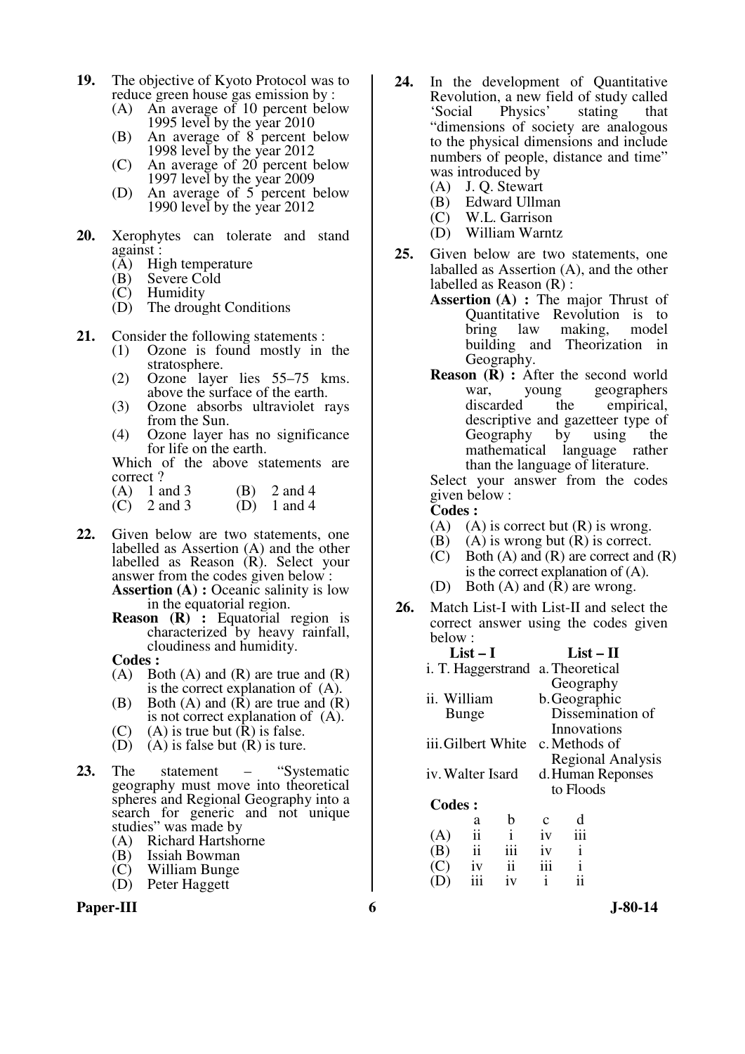- **19.** The objective of Kyoto Protocol was to reduce green house gas emission by :
	- (A) An average of 10 percent below 1995 level by the year 2010
	- (B) An average of 8 percent below 1998 level by the year 2012
	- (C) An average of 20 percent below 1997 level by the year 2009
	- (D) An average of 5 percent below 1990 level by the year 2012
- **20.** Xerophytes can tolerate and stand against :
	- $(\overline{A})$  High temperature<br>
	(B) Severe Cold
	- (B) Severe Cold<br>(C) Humidity
	- Humidity
	- (D) The drought Conditions
- **21.** Consider the following statements :
	- (1) Ozone is found mostly in the stratosphere.
	- (2) Ozone layer lies 55–75 kms. above the surface of the earth.
	- (3) Ozone absorbs ultraviolet rays from the Sun.
	- (4) Ozone layer has no significance for life on the earth.

Which of the above statements are correct ?

- (A)  $1 \text{ and } 3$  (B)  $2 \text{ and } 4$ <br>(C)  $2 \text{ and } 3$  (D)  $1 \text{ and } 4$
- $\overrightarrow{C}$  2 and 3
- **22.** Given below are two statements, one labelled as Assertion (A) and the other labelled as Reason (R). Select your answer from the codes given below :

 **Assertion (A) :** Oceanic salinity is low in the equatorial region.

**Reason (R) :** Equatorial region is characterized by heavy rainfall, cloudiness and humidity.

**Codes :**<br>
(A) Bo

- Both  $(A)$  and  $(R)$  are true and  $(R)$ is the correct explanation of (A).
- (B) Both (A) and (R) are true and (R) is not correct explanation of (A).
- (C) (A) is true but  $(R)$  is false.<br>(D) (A) is false but  $(R)$  is ture.
- $(A)$  is false but  $(R)$  is ture.
- **23.** The statement "Systematic geography must move into theoretical spheres and Regional Geography into a search for generic and not unique studies" was made by
	- (A) Richard Hartshorne<br>(B) Issiah Bowman
	-
	- (B) Issiah Bowman William Bunge
	- (D) Peter Haggett



- **24.** In the development of Quantitative Revolution, a new field of study called<br>'Social Physics' stating that Physics' stating that "dimensions of society are analogous to the physical dimensions and include numbers of people, distance and time" was introduced by
	- (A) J. Q. Stewart
	- (B) Edward Ullman
	- (C) W.L. Garrison
	- (D) William Warntz
- **25.** Given below are two statements, one laballed as Assertion (A), and the other labelled as Reason (R) :
	- **Assertion (A) :** The major Thrust of Quantitative Revolution is to bring law making, model building and Theorization in Geography.
	- **Reason** (**R**) : After the second world war, young geographers<br>discarded the empirical, the empirical, descriptive and gazetteer type of Geography by using the mathematical language rather than the language of literature.

Select your answer from the codes given below :

- **Codes :**
- (A) (A) is correct but  $(R)$  is wrong.
- (B) (A) is wrong but  $(R)$  is correct.
- $(C)$  Both  $(A)$  and  $(R)$  are correct and  $(R)$ is the correct explanation of (A).
- (D) Both (A) and (R) are wrong.
- **26.** Match List-I with List-II and select the correct answer using the codes given below :

| List $-1$                                           |               |                    |                          | List – H                          |                  |  |
|-----------------------------------------------------|---------------|--------------------|--------------------------|-----------------------------------|------------------|--|
|                                                     |               |                    |                          | i. T. Haggerstrand a. Theoretical |                  |  |
|                                                     |               |                    |                          | Geography                         |                  |  |
| ii. William                                         |               |                    |                          | b. Geographic                     |                  |  |
| Bunge                                               |               |                    |                          |                                   | Dissemination of |  |
|                                                     |               |                    |                          | Innovations                       |                  |  |
|                                                     |               | iii. Gilbert White |                          | c. Methods of                     |                  |  |
|                                                     |               |                    | <b>Regional Analysis</b> |                                   |                  |  |
| iv. Walter Isard                                    |               |                    | d. Human Reponses        |                                   |                  |  |
|                                                     |               |                    |                          | to Floods                         |                  |  |
| <b>Codes:</b>                                       |               |                    |                          |                                   |                  |  |
|                                                     | a             | b                  | с                        |                                   |                  |  |
| (A)                                                 | ii            | i                  | iv                       | iii                               |                  |  |
| (B)                                                 | $\mathbf{ii}$ | iii                | iv                       | i                                 |                  |  |
| $\left( \begin{array}{c} \cdot \end{array} \right)$ | 1V            | ii                 | iii                      |                                   |                  |  |
|                                                     |               | iv                 | i                        |                                   |                  |  |
|                                                     |               |                    |                          |                                   |                  |  |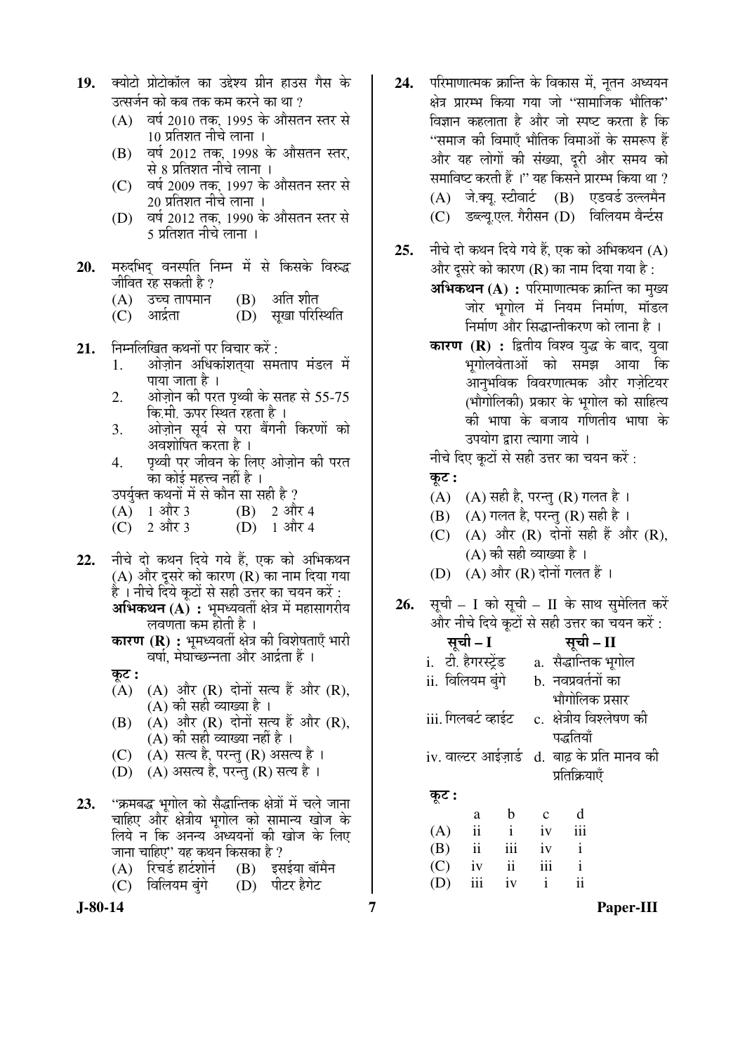|  | 19. क्योटो प्रोटोकॉल का उद्देश्य ग्रीन हाउस गैस के |  |  |  |
|--|----------------------------------------------------|--|--|--|
|  | उत्सर्जन को कब तक कम करने का था ?                  |  |  |  |

- $(A)$  वर्ष 2010 तक, 1995 के औसतन स्तर से 10 प्रतिशत नीचे लाना ।
- $(B)$   $\vec{q}$  aर्ष 2012 तक, 1998 के औसतन स्तर, से 8 प्रतिशत नीचे लाना ।
- (C)  $\vec{a}$ ष्ठ 2009 तक, 1997 के औसतन स्तर से 20 प्रतिशत नीचे लाना ।
- (D) वर्ष 2012 तक, 1990 के औसतन स्तर से 5 प्रतिशत नीचे लाना ।
- 20. मरुदभिद वनस्पति निम्न में से किसके विरुद्ध जीवित रह सकती है ?
	- $(A)$  उच्च तापमान  $(B)$  अति शीत
	- (C) आर्द्रता (D) सुखा परिस्थिति
- **21.** निम्नलिखित कथनों पर विचार करें :
	- 1. ओज़ोन अधिकांशतया समताप मंडल में पाया जाता है ।
	- 2. †Öê•ÖÌÖê®Ö Ûúß ¯Ö¸üŸÖ ¯Ö飾Öß Ûêú ÃÖŸÖÆü ÃÖê 55-75 कि.मी. ऊपर स्थित रहता है ।
	- 3. ओज़ोन सूर्य से परा बैंगनी किरणों को अवशोषित करता है ।
	- 4. पृथ्वी पर जीवन के लिए ओज़ोन की परत का कोई महत्त्व नहीं है ।
	- उपर्यक्त कथनों में से कौन सा सही है ?
	- (A) 1 और 3 (B) 2 और 4<br>(C) 2 और 3 (D) 1 और 4
	- $(D)$  1 और 4
- 22. नीचे दो कथन दिये गये हैं, एक को अभिकथन (A) और दुसरे को कारण (R) का नाम दिया गया है । नीचे दिये कुटों से सही उत्तर का चयन करें : **अभिकथन (A) :** भूमध्यवर्ती क्षेत्र में महासागरीय लवणता कम होती है ।
	- **कारण (R) :** भुमध्यवर्ती क्षेत्र की विशेषताएँ भारी वर्षा, मेघाच्छन्नता और आर्द्रता हैं ।
	- कट :
	- $(A)$   $(A)$  और  $(R)$  दोनों सत्य हैं और  $(R)$ , (A) की सही व्याख्या है ।
	- $(B)$   $(A)$  और  $(R)$  दोनों सत्य हैं और  $(R)$ ,  $(A)$  की सही व्याख्या नहीं है ।
	- $(C)$   $(A)$  सत्य है, परन्तु  $(R)$  असत्य है ।
	- $(D)$   $(A)$  असत्य है, परन्तु  $(R)$  सत्य है ।
- 23. "क्रमबद्ध भगोल को सैद्धान्तिक क्षेत्रों में चले जाना चाहिए और क्षेत्रीय भुगोल को सामान्य खोज के लिये न कि अनन्य अध्ययनों की खोज के लिए जाना चाहिए'' यह कथन किसका है ?<br>(A) रिचर्ड हार्टशोर्न (B) इसईया बॉमैन
	- (A) रिचर्ड हार्टशोर्न (B) इसईया बॉंग<br>(C) विलियम बंगे (D) पीटर हैगेट
	- (C) विलियम बंगे
- 
- 24. परिमाणात्मक क्रान्ति के विकास में. नतन अध्ययन क्षेत्र प्रारम्भ किया गया जो ''सामाजिक भौतिक'' विज्ञान कहलाता है और जो स्पष्ट करता है कि "समाज की विमाएँ भौतिक विमाओं के समरूप हैं और यह लोगों की संख्या. दरी और समय को समाविष्ट करती हैं ।" यह किसने प्रारम्भ किया था ? (A) जे.क्यू. स्टीवार्ट (B) एडवर्ड उल्लमैन (C) डब्ल्यू.एल. गैरीसन (D) विलियम वैर्न्टस
- 25. नीचे दो कथन दिये गये हैं. एक को अभिकथन (A) और दसरे को कारण (R) का नाम दिया गया है:
	- **अभिकथन (A) :** परिमाणात्मक क्रान्ति का मुख्य जोर भगोल में नियम निर्माण, मॉडल निर्माण और सिद्धान्तीकरण को लाना है ।
	- **कारण (R) :** द्वितीय विश्व युद्ध के बाद, युवा भूगोलवेताओं को समझ आया कि आनुभविक विवरणात्मक और गज़ेटियर (भौगोलिकी) प्रकार के भूगोल को साहित्य की भाषा के बजाय गणितीय भाषा के उपयोग द्वारा त्यागा जाये ।

नीचे दिए कटों से सही उत्तर का चयन करें :

- कुट :
- (A)  $(A)$  सही है, परन्तु (R) गलत है ।
- $(B)$  (A) गलत है, परन्तु (R) सही है।
- (C) (A) और (R) दोनों सही हैं और (R),  $(A)$  की सही व्याख्या है ।
- $(D)$   $(A)$  और  $(R)$  दोनों गलत हैं।
- 26. सूची I को सूची II के साथ सुमेलित करें और नीचे दिये कुटों से सही उत्तर का चयन करें :

|                     | सूची – I                |              |    | सूची – II                                    |  |  |  |
|---------------------|-------------------------|--------------|----|----------------------------------------------|--|--|--|
| i. टी. हैगरस्ट्रेंड |                         |              |    | a.  सैद्धान्तिक भूगोल                        |  |  |  |
| ii. विलियम बुंगे    |                         |              |    | b.  नवप्रवर्तनों का                          |  |  |  |
|                     |                         |              |    | भौगोलिक प्रसार                               |  |  |  |
| iii. गिलबर्ट व्हाईट |                         |              |    | c.  क्षेत्रीय विश्लेषण की                    |  |  |  |
|                     |                         |              |    | पद्धतियॉ                                     |  |  |  |
|                     |                         |              |    | iv. वाल्टर आईज़ार्ड d. बाढ़ के प्रति मानव की |  |  |  |
|                     |                         |              |    | प्रतिक्रियाएँ                                |  |  |  |
| कूट :               |                         |              |    |                                              |  |  |  |
|                     | a                       | b            | C  | d                                            |  |  |  |
| (A)                 | $\mathbf{ii}$           | $\mathbf{i}$ | iv | iii                                          |  |  |  |
| (B)                 | $\overline{\mathbf{u}}$ | iii          | iv | $\mathbf{i}$                                 |  |  |  |

 $(C)$  iv ii iii i (D) iii iv i ii

**J-80-14 7 Paper-III**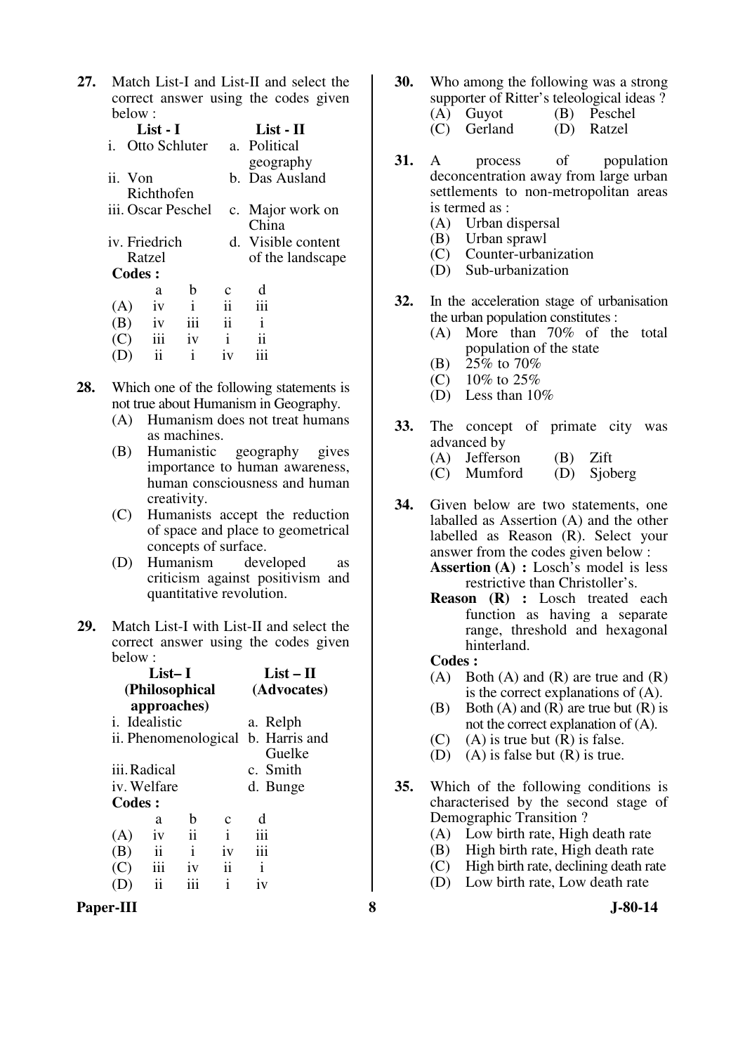**27.** Match List-I and List-II and select the correct answer using the codes given below :

|               | List - I   |                    |               | List - II          |
|---------------|------------|--------------------|---------------|--------------------|
| i.            |            | Otto Schluter      |               | a. Political       |
|               |            |                    |               | geography          |
| ii. Von       |            |                    |               | b. Das Ausland     |
|               | Richthofen |                    |               |                    |
|               |            | iii. Oscar Peschel |               | c. Major work on   |
|               |            |                    |               | China              |
| iv. Friedrich |            |                    |               | d. Visible content |
|               | Ratzel     |                    |               | of the landscape   |
| Codes :       |            |                    |               |                    |
|               | a          | h                  | $\mathbf c$   | d                  |
| (A)           | 1V         | $\mathbf{i}$       | ij            | iii                |
| (B)           | iv         | iii                | $\mathbf{ii}$ | Ť                  |
| (C)           | iii        | iv                 | i             | 11                 |
|               | ij         | i                  | 1V            |                    |
|               |            |                    |               |                    |

- **28.** Which one of the following statements is not true about Humanism in Geography.
	- (A) Humanism does not treat humans as machines.
	- (B) Humanistic geography gives importance to human awareness, human consciousness and human creativity.
	- (C) Humanists accept the reduction of space and place to geometrical concepts of surface.
	- (D) Humanism developed as criticism against positivism and quantitative revolution.
- **29.** Match List-I with List-II and select the correct answer using the codes given below :

|        | List– I               |                 | List – H     |                                    |             |
|--------|-----------------------|-----------------|--------------|------------------------------------|-------------|
|        |                       | (Philosophical) |              |                                    | (Advocates) |
|        |                       | approaches)     |              |                                    |             |
|        | <i>i</i> . Idealistic |                 |              | a. Relph                           |             |
|        |                       |                 |              | ii. Phenomenological b. Harris and |             |
|        |                       |                 |              |                                    | Guelke      |
|        | iii. Radical          |                 |              | c. Smith                           |             |
|        | iv. Welfare           |                 |              | d. Bunge                           |             |
| Codes: |                       |                 |              |                                    |             |
|        | a                     | h               | с            |                                    |             |
| (A)    | 1V                    | ii              | $\mathbf{i}$ | iii                                |             |
| (B)    | ii                    | $\mathbf{i}$    | iv           | iii                                |             |
| (C)    | iii                   | 1V              | ii           | $\mathbf{i}$                       |             |
|        | ii                    | iii             | i            | iv                                 |             |
|        |                       |                 |              |                                    |             |

Paper-III 8 **8** J-80-14

- **30.** Who among the following was a strong supporter of Ritter's teleological ideas ?
	- (A) Guyot (B) Peschel<br>(C) Gerland (D) Ratzel  $(C)$  Gerland
- **31.** A process of population deconcentration away from large urban settlements to non-metropolitan areas is termed as :
	- (A) Urban dispersal
	- (B) Urban sprawl<br>(C) Counter-urban
	- (C) Counter-urbanization<br>(D) Sub-urbanization
	- Sub-urbanization
- **32.** In the acceleration stage of urbanisation the urban population constitutes :
	- (A) More than 70% of the total population of the state
	- (B)  $25\%$  to 70%
	- (C) 10% to 25%
	- (D) Less than 10%
- **33.** The concept of primate city was advanced by
	- (A) Jefferson (B) Zift
	- (C) Mumford (D) Sjoberg
- **34.** Given below are two statements, one laballed as Assertion (A) and the other labelled as Reason (R). Select your answer from the codes given below :

 **Assertion (A) :** Losch's model is less restrictive than Christoller's.

- **Reason (R) :** Losch treated each function as having a separate range, threshold and hexagonal hinterland.
- **Codes :**
- (A) Both (A) and (R) are true and  $(R)$ is the correct explanations of (A).
- (B) Both (A) and (R) are true but  $(R)$  is not the correct explanation of (A).
- (C) (A) is true but  $(R)$  is false.
- (D) (A) is false but  $(R)$  is true.
- **35.** Which of the following conditions is characterised by the second stage of Demographic Transition ?
	- (A) Low birth rate, High death rate
	- (B) High birth rate, High death rate
	- (C) High birth rate, declining death rate
	- (D) Low birth rate, Low death rate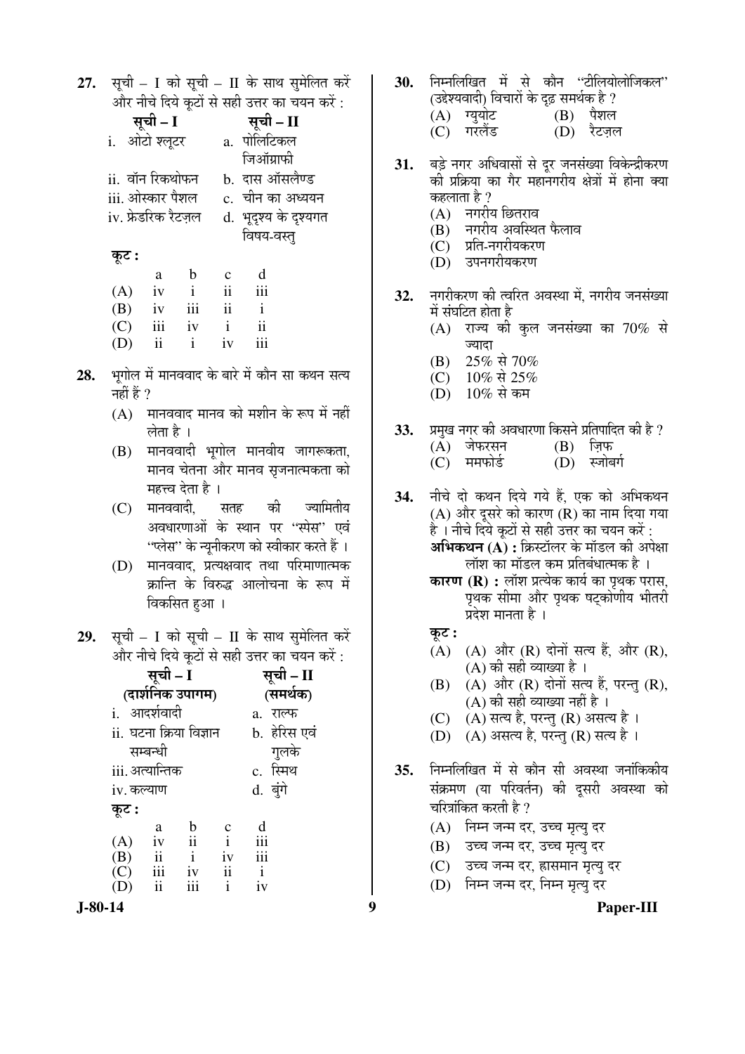27. सूची – I को सूची – II के साथ सुमेलित करें और नीचे दिये कटों से सही उत्तर का चयन करें :

| सूची – I            | सूची – II             |
|---------------------|-----------------------|
| i. ओटो श्लूटर       | a. पोलिटिकल           |
|                     | जिऑग्राफी             |
| ii.  वॉन रिकथोफन    | b. दास ऑसलैण्ड        |
| iii. ओस्कार पैशल    | c.  चीन का अध्ययन     |
| iv. फ्रेडरिक रैटज़ल | d. भूदृश्य के दृश्यगत |
|                     | विषय-वस्तु            |
| कूट :               |                       |
|                     |                       |

|     | a   | b   | C  | d             |
|-----|-----|-----|----|---------------|
| (A) | iv  |     | ii | iii           |
| (B) | iv  | iii | ii |               |
| (C) | iii | iv  | i  | $\mathbf{ii}$ |
| (D) | 11  |     | iv | iii           |

- भूगोल में मानववाद के बारे में कौन सा कथन सत्य 28. नहीं हैं  $\overline{?}$ 
	- $(A)$  मानववाद मानव को मशीन के रूप में नहीं लेता है ।
	- (B) मानववादी भूगोल मानवीय जागरूकता, मानव चेतना और मानव सृजनात्मकता को महत्त्व देता है ।
	- $(C)$  मानववादी, की ज्यामितीय सतह अवधारणाओं के स्थान पर ''स्पेस'' एवं ''प्लेस'' के न्यूनीकरण को स्वीकार करते हैं ।
	- (D) मानववाद, प्रत्यक्षवाद तथा परिमाणात्मक क्रान्ति के विरुद्ध आलोचना के रूप में विकसित हुआ ।
- 29. सूची I को सूची II के साथ सुमेलित करें और नीचे दिये कुटों से सही उत्तर का चयन करें :

|            | सूची - I                      | सूची – II               |                |              |  |
|------------|-------------------------------|-------------------------|----------------|--------------|--|
|            |                               | (दार्शनिक उपागम)        |                | (समर्थक)     |  |
|            | i. आदर्शवादी                  |                         |                | a. राल्फ     |  |
|            |                               | ii. घटना क्रिया विज्ञान |                | b. हेरिस एवं |  |
|            | सम्बन्धी                      |                         |                | गुलके        |  |
|            | iii. अत्यान्तिक               |                         |                | c. स्मिथ     |  |
| iv. कल्याण |                               |                         |                | d. बुंगे     |  |
| कूट :      |                               |                         |                |              |  |
|            | a                             | $\mathbf b$             | c              | d            |  |
| (A)        | iv                            | ii                      | $\mathbf{i}$   | iii          |  |
| (B)        | $\underset{\cdot}{\text{ii}}$ | $\mathbf{i}$            | iv             | iii          |  |
| (C)        | iii                           | iv                      | $\ddot{\rm n}$ | $\mathbf{i}$ |  |
| (D)        | ii                            | iii                     | i              | iv           |  |
| - 1        |                               |                         |                |              |  |

 $\boldsymbol{9}$ 

निम्नलिखित में से कौन ''टीलियोलोजिकल'' 30. (उद्देश्यवादी) विचारों के दृढ़ समर्थक है ? (A) ग्यूयोट  $(B)$  पैशल (C) गरलैंड (D) रैटजल बड़े नगर अधिवासों से दूर जनसंख्या विकेन्द्रीकरण **31.** की प्रक्रिया का गैर महानगरीय क्षेत्रों में होना क्या कहलाता है ?  $(A)$  नगरीय छितराव  $\overline{(\mathbf{B})}$  नगरीय अवस्थित फैलाव  $(C)$  प्रति-नगरीयकरण (D) उपनगरीयकरण नगरीकरण की त्वरित अवस्था में. नगरीय जनसंख्या 32. में संघटित होता है  $(A)$  राज्य की कुल जनसंख्या का 70% से ज्यादा 25% से 70% (B) (C)  $10\%$  से 25%  $(D)$  $10\%$  से कम प्रमुख नगर की अवधारणा किसने प्रतिपादित की है ? 33.  $(A)$  जेफरसन  $(B)$  ज़िफ (C) ममफोर्ड (D) स्जोबर्ग नीचे दो कथन दिये गये हैं, एक को अभिकथन 34. (A) और दूसरे को कारण (R) का नाम दिया गया है । नीचे दिये कूटों से सही उत्तर का चयन करें : **अभिकथन (A) :** क्रिस्टॉलर के मॉडल की अपेक्षा लॉश का मॉडल कम प्रतिबंधात्मक है । **कारण (R) :** लॉश प्रत्येक कार्य का पृथक परास, पृथक सीमा और पृथक षट्कोणीय भीतरी प्रदेश मानता है । कुट : (A) (A) और (R) दोनों सत्य हैं, और (R),  $(A)$  की सही व्याख्या है। (A) और (R) दोनों सत्य हैं, परन्तु (R), (B) (A) की सही व्याख्या नहीं है ।  $(C)$ (A) सत्य है, परन्तु (R) असत्य है । (D) (A) असत्य है, परन्तु (R) सत्य है। निम्नलिखित में से कौन सी अवस्था जनांकिकीय  $35.$ संक्रमण (या परिवर्तन) की दुसरी अवस्था को चरित्रांकित करती है ? (A) निम्न जन्म दर, उच्च मृत्यु दर (B) उच्च जन्म दर, उच्च मृत्यु दर (C) उच्च जन्म दर, हासमान मृत्यु दर (D) निम्न जन्म दर, निम्न मृत्य दर

 $J-80-14$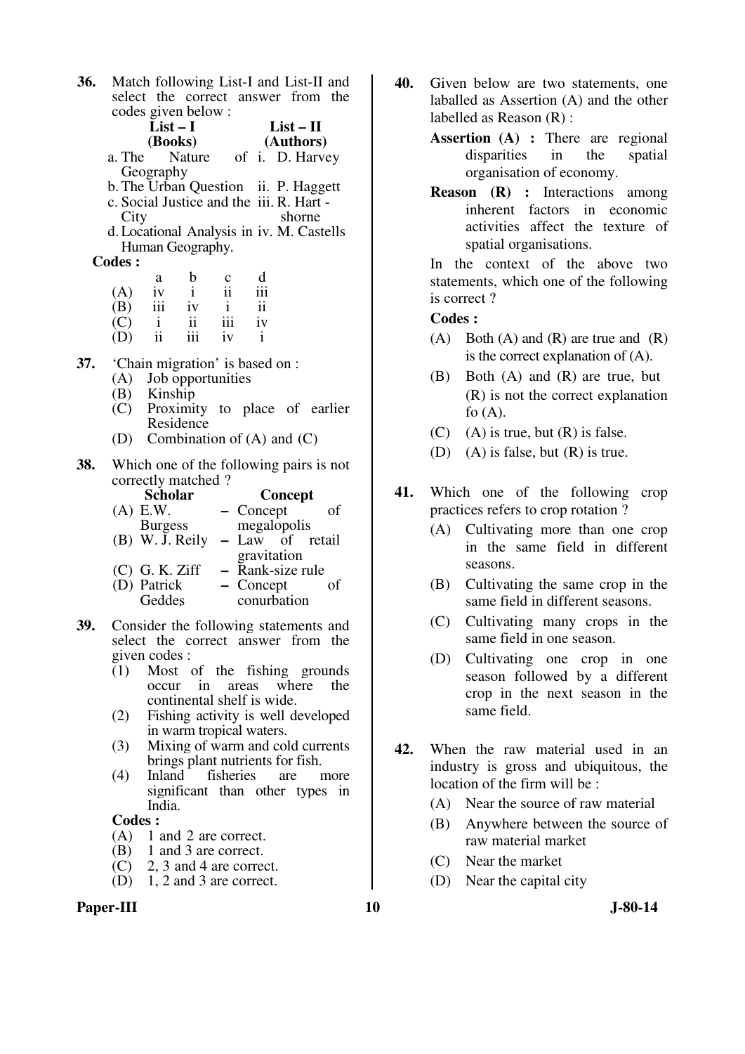| 36. |         | Match following List-I and List-II and                                           |                |                         |             |      |
|-----|---------|----------------------------------------------------------------------------------|----------------|-------------------------|-------------|------|
|     |         | select the correct answer from the                                               |                |                         |             |      |
|     |         | codes given below:                                                               |                |                         |             |      |
|     |         | $List-I$                                                                         |                |                         | $List - II$ |      |
|     |         | (Books)                                                                          |                |                         | (Authors)   |      |
|     | a. The  | Nature of i. D. Harvey                                                           |                |                         |             |      |
|     |         | Geography                                                                        |                |                         |             |      |
|     |         | b. The Urban Question ii. P. Haggett<br>c. Social Justice and the iii. R. Hart - |                |                         |             |      |
|     | City    |                                                                                  |                |                         | shorne      |      |
|     |         | d. Locational Analysis in iv. M. Castells                                        |                |                         |             |      |
|     |         | Human Geography.                                                                 |                |                         |             |      |
|     | Codes : |                                                                                  |                |                         |             |      |
|     |         | b<br>a                                                                           | c              | d                       |             |      |
|     | (A)     | $\mathbf{i}$<br>iv                                                               | $\ddot{\rm n}$ | 111                     |             |      |
|     |         | $(B)$ iii iv                                                                     | $\mathbf{i}$   | $\overline{\mathbf{u}}$ |             |      |
|     |         | $\overline{\mathbf{1}}$<br>$(C)$ i                                               | iii            | iv                      |             |      |
|     |         | iii<br>$(D)$ ii                                                                  | iv             | $\mathbf{i}$            |             |      |
| 37. |         | 'Chain migration' is based on :                                                  |                |                         |             |      |
|     |         |                                                                                  |                |                         |             |      |
|     |         | (A) Job opportunities<br>(B) Kinship                                             |                |                         |             |      |
|     |         | (C) Proximity to place of earlier                                                |                |                         |             |      |
|     |         | Residence                                                                        |                |                         |             |      |
|     | (D)     | Combination of $(A)$ and $(C)$                                                   |                |                         |             |      |
| 38. |         | Which one of the following pairs is not                                          |                |                         |             |      |
|     |         | correctly matched?                                                               |                |                         |             |      |
|     |         | <b>Scholar</b>                                                                   |                |                         | Concept     |      |
|     |         | $(A)$ E.W.                                                                       |                | $-$ Concept             |             | of   |
|     |         | Burgess                                                                          |                | megalopolis             |             |      |
|     |         | $(B)$ W. J. Reily                                                                |                | - Law of retail         |             |      |
|     |         |                                                                                  |                | gravitation             |             |      |
|     |         | (C) G. K. Ziff                                                                   |                | - Rank-size rule        |             |      |
|     |         | (D) Patrick                                                                      |                | $-$ Concept             |             | οf   |
|     |         | Geddes                                                                           |                | conurbation             |             |      |
| 39. |         | Consider the following statements and                                            |                |                         |             |      |
|     |         | select the correct answer from the                                               |                |                         |             |      |
|     |         | given codes :                                                                    |                |                         |             |      |
|     | (1)     | Most of the fishing grounds                                                      |                |                         |             |      |
|     |         | in<br>occur                                                                      |                | areas where             |             | the  |
|     |         | continental shelf is wide.                                                       |                |                         |             |      |
|     | (2)     | Fishing activity is well developed                                               |                |                         |             |      |
|     |         | in warm tropical waters.                                                         |                |                         |             |      |
|     | (3)     | Mixing of warm and cold currents                                                 |                |                         |             |      |
|     | (4)     | brings plant nutrients for fish.<br>Inland                                       | fisheries      |                         | are         |      |
|     |         |                                                                                  |                |                         |             | more |

significant than other types in India.

#### **Codes :**

- (A) 1 and 2 are correct.<br>(B) 1 and 3 are correct.
- 1 and 3 are correct.
- (C) 2, 3 and 4 are correct.
- (D) 1, 2 and 3 are correct.

#### Paper-III **10** J-80-14

- **40.** Given below are two statements, one laballed as Assertion (A) and the other labelled as Reason (R) :
	- **Assertion (A) :** There are regional disparities in the spatial organisation of economy.
	- **Reason (R) :** Interactions among inherent factors in economic activities affect the texture of spatial organisations.

In the context of the above two statements, which one of the following is correct ?

- (A) Both (A) and (R) are true and  $(R)$ is the correct explanation of (A).
- (B) Both  $(A)$  and  $(R)$  are true, but (R) is not the correct explanation fo  $(A)$ .
- $(C)$  (A) is true, but  $(R)$  is false.
- (D) (A) is false, but (R) is true.
- **41.** Which one of the following crop practices refers to crop rotation ?
	- (A) Cultivating more than one crop in the same field in different seasons.
	- (B) Cultivating the same crop in the same field in different seasons.
	- (C) Cultivating many crops in the same field in one season.
	- (D) Cultivating one crop in one season followed by a different crop in the next season in the same field.
- **42.** When the raw material used in an industry is gross and ubiquitous, the location of the firm will be :
	- (A) Near the source of raw material
	- (B) Anywhere between the source of raw material market
	- (C) Near the market
	- (D) Near the capital city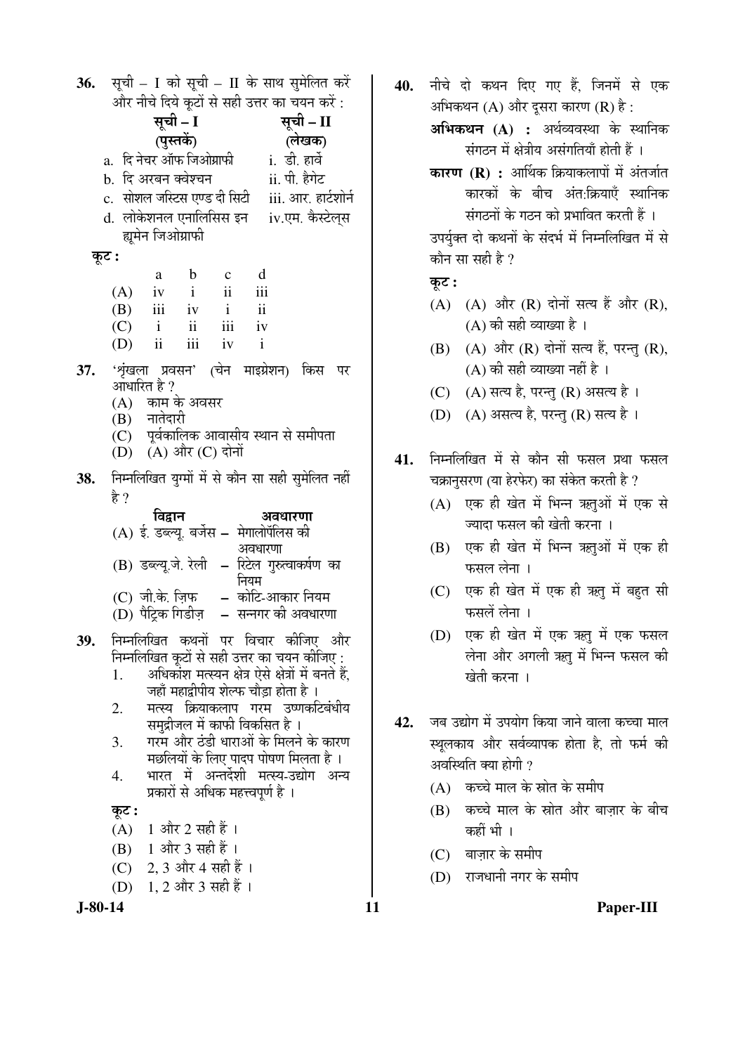**36.** सूची - I को सूची - II के साथ सुमेलित करें और नीचे दिये कटों से सही उत्तर का चयन करें : सची – I सची – II (पुस्तकें) (लेखक) a. दि नेचर ऑफ जिओग्राफी <u>i. डी. हार्वे</u> b. दि अरबन क्वेश्चन ii. पी. हैगेट c. सोशल जस्टिस एण्ड दी सिटी iii. आर. हार्टशोर्न d. लोकेशनल एनालिसिस इन iv.एम. कैस्टेलस ह्यूमेन जिओग्राफी कुट :  $\mathbf b$ d  $\mathbf{c}$ a  $\mathbf{ii}$ iii  $(A)$  $iv$  $\mathbf{i}$  $(B)$ iii  $iv$  $\mathbf{i}$  $\mathbf{ii}$ iii  $(C)$  $\mathbf{i}$  $\mathbf{ii}$  $iv$  $(D)$  $\mathbf{ii}$  $\mathbf{iii}$  $iv$  $\mathbf{i}$ 'शृंखला प्रवसन' (चेन माइग्रेशन) किस पर 37. आधारित है ?  $(A)$ काम के अवसर नातेदारी (B) पूर्वकालिक आवासीय स्थान से समीपता  $(C)$ (D) (A) और (C) दोनों निम्नलिखित युग्मों में से कौन सा सही सुमेलित नहीं 38. हे ? विद्वान अवधारणा (A) ई. डब्ल्यू. बर्जेस – मेगालोपॅलिस की अवधारणा (B) डब्ल्यू.जे. रेली - रिटेल गुरुत्वाकर्षण का नियम  $(C)$  जी के जिफ – कोटि-आकार नियम – सन्नगर की अवधारणा (D) पैट्रिक गिडीज़ निम्नलिखित कथनों पर विचार कीजिए और 39. निम्नलिखित कुटों से सही उत्तर का चयन कीजिए : अधिकोंश मत्स्यन क्षेत्र ऐसे क्षेत्रों में बनते हैं, 1. जहाँ महाद्वीपीय शेल्फ चौडा होता है । मत्स्य क्रियाकलाप गरम उष्णकटिबंधीय 2. समद्रीजल में काफी विकसित है। 3. गरम और ठंडी धाराओं के मिलने के कारण मछलियों के लिए पादप पोषण मिलता है। भारत में अन्तर्देशी मत्स्य-उद्योग अन्य  $\overline{4}$ . प्रकारों से अधिक महत्त्वपूर्ण है । कूट :  $(A)$  1 और 2 सही हैं। (B) 1 और 3 सही हैं। (C) 2, 3 और 4 सही हैं । 1, 2 और 3 सही हैं । (D)

 $J-80-14$ 

40. नीचे दो कथन दिए गए हैं, जिनमें से एक अभिकथन  $(A)$  और दुसरा कारण  $(R)$  है:

> अभिकथन (A) : अर्थव्यवस्था के स्थानिक संगठन में क्षेत्रीय असंगतियाँ होती हैं ।

> कारण (R) : आर्थिक क्रियाकलापों में अंतर्जात कारकों के बीच अंत:क्रियाएँ स्थानिक संगठनों के गठन को प्रभावित करती हैं ।

> उपर्युक्त दो कथनों के संदर्भ में निम्नलिखित में से कौन सा सही है ?

## कूट :

- (A) (A) और (R) दोनों सत्य हैं और (R),  $(A)$  की सही व्याख्या है।
- (B) (A) और (R) दोनों सत्य हैं, परन्तु (R),  $(A)$  की सही व्याख्या नहीं है।
- (C) (A) सत्य है. परन्त (R) असत्य है।
- (D) (A) असत्य है, परन्तु (R) सत्य है।
- निम्नलिखित में से कौन सी फसल प्रथा फसल 41. चक्रानुसरण (या हेरफेर) का संकेत करती है ?
	- (A) एक ही खेत में भिन्न ऋतुओं में एक से ज्यादा फसल की खेती करना ।
	- (B) एक ही खेत में भिन्न ऋतुओं में एक ही फसल लेना।
	- (C) एक ही खेत में एक ही ऋतु में बहुत सी फसलें लेना ।
	- (D) एक ही खेत में एक ऋतु में एक फसल लेना और अगली ऋतु में भिन्न फसल की खेती करना ।
- जब उद्योग में उपयोग किया जाने वाला कच्चा माल 42. स्थलकाय और सर्वव्यापक होता है, तो फर्म की अवस्थिति क्या होगी ?
	- (A) कच्चे माल के स्रोत के समीप
	- (B) कच्चे माल के स्रोत और बाज़ार के बीच कहीं भी ।
	- $(C)$  बाज़ार के समीप

11

(D) राजधानी नगर के समीप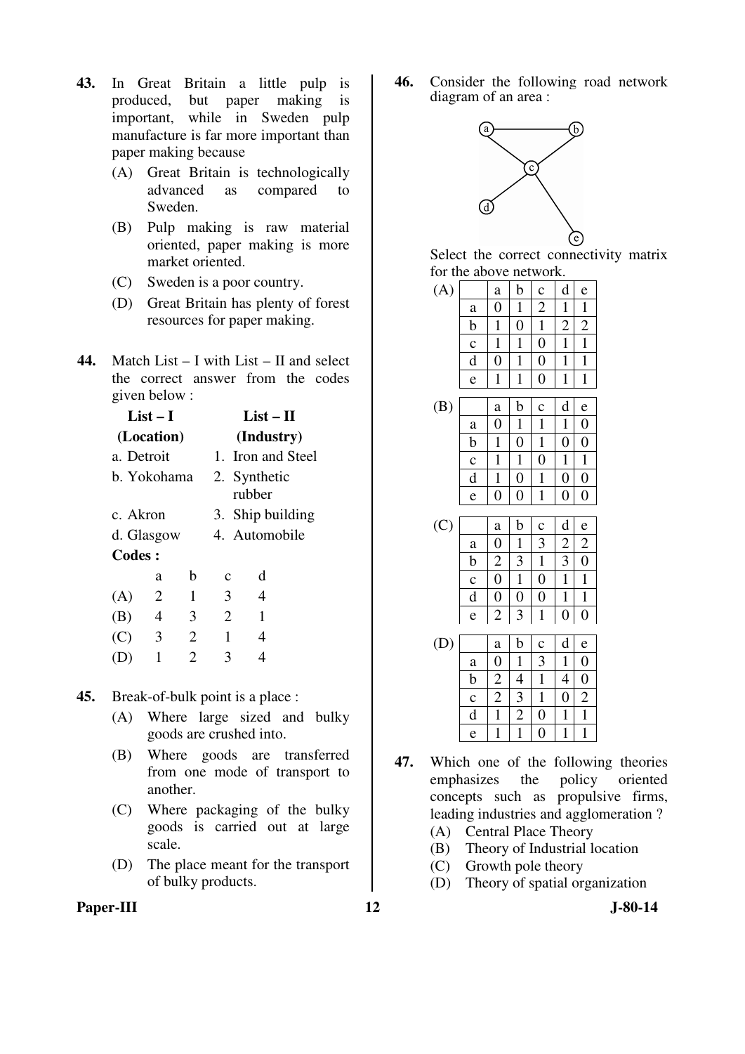- **43.** In Great Britain a little pulp is produced, but paper making is important, while in Sweden pulp manufacture is far more important than paper making because
	- (A) Great Britain is technologically<br>advanced as compared to advanced as compared to Sweden.
	- (B) Pulp making is raw material oriented, paper making is more market oriented.
	- (C) Sweden is a poor country.
	- (D) Great Britain has plenty of forest resources for paper making.
- **44.** Match List I with List II and select the correct answer from the codes given below :

|            | List $-1$<br>(Location) |   |                | List – H<br>(Industry) |  |  |
|------------|-------------------------|---|----------------|------------------------|--|--|
| a. Detroit |                         |   |                | 1. Iron and Steel      |  |  |
|            | b. Yokohama             |   |                | 2. Synthetic<br>rubber |  |  |
| c. Akron   |                         |   |                | 3. Ship building       |  |  |
| d. Glasgow |                         |   | 4. Automobile  |                        |  |  |
| Codes:     |                         |   |                |                        |  |  |
|            | a                       | b | c              | d                      |  |  |
| (A)        | 2                       | 1 | 3              | 4                      |  |  |
| (B)        | 4                       | 3 | $\overline{2}$ | 1                      |  |  |
| (C)        | 3                       | 2 | 1              | 4                      |  |  |
|            | 1                       | 2 | 3              |                        |  |  |

- **45.** Break-of-bulk point is a place :
	- (A) Where large sized and bulky goods are crushed into.
	- (B) Where goods are transferred from one mode of transport to another.
	- (C) Where packaging of the bulky goods is carried out at large scale.
	- (D) The place meant for the transport of bulky products.

**46.** Consider the following road network diagram of an area :



Select the correct connectivity matrix for the above network.

| (A) |             | $\mathbf a$      | b                | $\mathbf c$    | d                | e                |  |
|-----|-------------|------------------|------------------|----------------|------------------|------------------|--|
|     | $\rm{a}$    | $\boldsymbol{0}$ | 1                | $\overline{2}$ | 1                | $\mathbf{1}$     |  |
|     | b           | 1                | $\boldsymbol{0}$ | $\mathbf{1}$   | $\overline{c}$   | $\overline{c}$   |  |
|     | $\mathbf c$ | $\mathbf{1}$     | 1                | $\overline{0}$ | 1                | $\mathbf{1}$     |  |
|     | $\rm d$     | $\overline{0}$   | 1                | $\overline{0}$ | $\mathbf{1}$     | $\mathbf{1}$     |  |
|     | e           | 1                | 1                | $\overline{0}$ | $\mathbf{1}$     | $\mathbf{1}$     |  |
|     |             |                  |                  |                |                  |                  |  |
| (B) |             | a                | b                | $\mathbf c$    | d                | e                |  |
|     | $\rm{a}$    | $\boldsymbol{0}$ | $\mathbf{1}$     | $\mathbf{1}$   | $\mathbf{1}$     | $\boldsymbol{0}$ |  |
|     | b           | $\mathbf{1}$     | $\boldsymbol{0}$ | $\mathbf{1}$   | $\boldsymbol{0}$ | $\overline{0}$   |  |
|     | $\mathbf c$ | 1                | 1                | $\overline{0}$ | 1                | 1                |  |
|     | $\mathbf d$ | $\mathbf{1}$     | $\overline{0}$   | $\mathbf{1}$   | $\overline{0}$   | $\overline{0}$   |  |
|     | e           | $\boldsymbol{0}$ | $\boldsymbol{0}$ | $\mathbf{1}$   | $\boldsymbol{0}$ | $\boldsymbol{0}$ |  |
|     |             |                  |                  |                |                  |                  |  |
| (C) |             | a                | b                | $\mathbf c$    | d                | e                |  |
|     | a           | $\overline{0}$   | $\mathbf{1}$     | 3              | $\overline{c}$   | $\overline{c}$   |  |
|     |             |                  |                  |                |                  |                  |  |

| لرر |             | a | b | $\mathbf{C}$ | d | e |
|-----|-------------|---|---|--------------|---|---|
|     | a           | 0 |   | 3            | 2 | 2 |
|     | b           | 2 | 3 |              | 3 | 0 |
|     | $\mathbf c$ | 0 |   | 0            |   |   |
|     | d           | 0 | 0 | 0            |   |   |
|     | e           | 2 | 3 |              |   | 0 |

| (D) |             | a | b | $\mathbf c$ | d | e              |
|-----|-------------|---|---|-------------|---|----------------|
|     | a           | 0 |   | 3           |   | $\overline{0}$ |
|     | b           | 2 | 4 |             | 4 | $\overline{0}$ |
|     | $\mathbf c$ | 2 | 3 |             | 0 | $\overline{2}$ |
|     | d           |   | 2 | 0           |   |                |
|     | e           |   |   | 0           |   |                |

- **47.** Which one of the following theories emphasizes the policy oriented concepts such as propulsive firms, leading industries and agglomeration ?
	- (A) Central Place Theory
	- (B) Theory of Industrial location
	- (C) Growth pole theory
	- (D) Theory of spatial organization

Paper-III **12** J-80-14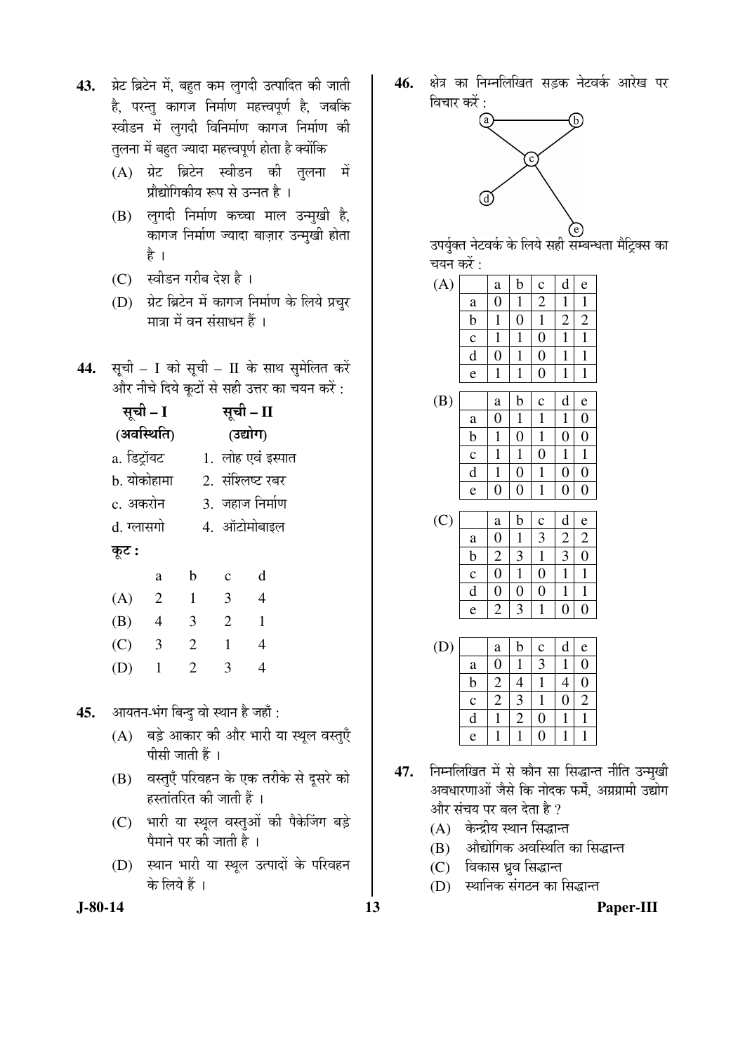- 43. प्रेट ब्रिटेन में, बहुत कम लुगदी उत्पादित की जाती है, परन्तु कागज निर्माण महत्त्वपूर्ण है, जबकि स्वीडन में लुगदी विनिर्माण कागज निर्माण की तुलना में बहुत ज्यादा महत्त्वपूर्ण होता है क्योंकि
	- $(A)$  ग्रेट ब्रिटेन स्वीडन की तलना में प्रौद्योगिकीय रूप से उन्नत है ।
	- $(B)$  लगदी निर्माण कच्चा माल उन्मखी है. कागज निर्माण ज्यादा बाज़ार उन्मुखी होता है ।
	- (C) स्वीडन गरीब देश है।
	- $(D)$  ग्रेट ब्रिटेन में कागज निर्माण के लिये प्रचुर `मात्रा में वन संसाधन हैं ।
- 44. सूची I को सूची II के साथ सुमेलित करें और नीचे दिये कूटों से सही उत्तर का चयन करें :

सूची – I (अवस्थिति) सूची – II (उद्योग) a. ×›ü™ÒüÖòµÖ™ü 1. »ÖÖêÆü ‹¾ÖÓ ‡Ã¯ÖÖŸÖ b. योकोहामा 2. संश्लिष्ट रबर c. अकरोन 3. जहाज निर्माण d. ग्लासगो 4. ऑटोमोबाइल Ûæú™ü **:**  a b c d (A) 2 1 3 4 (B) 4 3 2 1 (C) 3 2 1 4 (D) 1 2 3 4

45. आयतन-भंग बिन्दु वो स्थान है जहाँ :

- $(A)$  बड़े आकार की और भारी या स्थूल वस्तुएँ पीसी जाती हैं ।
- (B) वस्तुएँ परिवहन के एक तरीके से दूसरे को हस्तांतरित की जाती हैं ।
- (C) भारी या स्थूल वस्तुओं की पैकेजिंग बड़े पैमाने पर की जाती है ।
- (D) स्थान भारी या स्थुल उत्पादों के परिवहन के लिये हैं ।
- **J-80-14 13 Paper-III**

46. क्षेत्र का निम्नलिखित सडक नेटवर्क आरेख पर विचार करें $\cdot$ 



उपर्युक्त नेटवर्क के लिये सही सम्बन्धता मैट्रिक्स का चयन करें :

| (A) |             | a              | b                | $\mathbf c$      | d              | e              |  |
|-----|-------------|----------------|------------------|------------------|----------------|----------------|--|
|     | a           | $\overline{0}$ | 1                | $\overline{c}$   | 1              | $\mathbf{1}$   |  |
|     | $\mathbf b$ | 1              | $\boldsymbol{0}$ | $\mathbf 1$      | $\overline{c}$ | $\overline{c}$ |  |
|     | $\mathbf c$ | 1              | 1                | $\boldsymbol{0}$ | $\mathbf{1}$   | $\mathbf{1}$   |  |
|     | d           | $\overline{0}$ | $\mathbf{1}$     | $\overline{0}$   | 1              | $\mathbf{1}$   |  |
|     | e           | $\mathbf{1}$   | $\mathbf{1}$     | $\boldsymbol{0}$ | $\mathbf{1}$   | $\mathbf{1}$   |  |
|     |             |                |                  |                  |                |                |  |
| (B) |             | a              | b                | $\mathbf c$      | d              | e              |  |
|     | a           | $\overline{0}$ | 1                | 1                | 1              | $\overline{0}$ |  |
|     | $\mathbf b$ | $\mathbf{1}$   | $\boldsymbol{0}$ | $\mathbf{1}$     | $\overline{0}$ | $\overline{0}$ |  |
|     | $\mathbf c$ | 1              | $\mathbf{1}$     | $\overline{0}$   | 1              | 1              |  |
|     | d           | 1              | $\overline{0}$   | 1                | $\overline{0}$ | $\overline{0}$ |  |

| (C) |             | a | b | $\mathbf c$ | d | e |
|-----|-------------|---|---|-------------|---|---|
|     | a           | 0 |   |             | 2 | 2 |
|     | b           | 2 | 3 |             | 3 | O |
|     | $\mathbf c$ | 0 |   | 0           |   |   |
|     | d           | U | U | 0           |   |   |
|     | e           | 2 |   |             |   |   |

 $e | 0 | 0 | 1 | 0 | 0$ 

| (D) |             | a | b | $\mathbf c$ | d | e              |
|-----|-------------|---|---|-------------|---|----------------|
|     | a           |   |   | 3           |   | 0              |
|     | b           | 2 |   |             |   | C              |
|     | $\mathbf c$ | 2 | 3 |             | 0 | $\overline{2}$ |
|     | d           |   | 2 | 0           |   |                |
|     | e           |   |   | 0           |   |                |

- 47. निम्नलिखित में से कौन सा सिद्धान्त नीति उन्मुखी अवधारणाओं जैसे कि नोदक फर्में, अग्रग्रामी उद्योग ओर संचय पर बल देता है ?
	- (A) केन्द्रीय स्थान सिद्धान्त
	- (B) औद्योगिक अवस्थिति का सिद्धान्त
	- (C) विकास ध्रुव सिद्धान्त
	- (D) स्थानिक संगठन का सिद्धान्त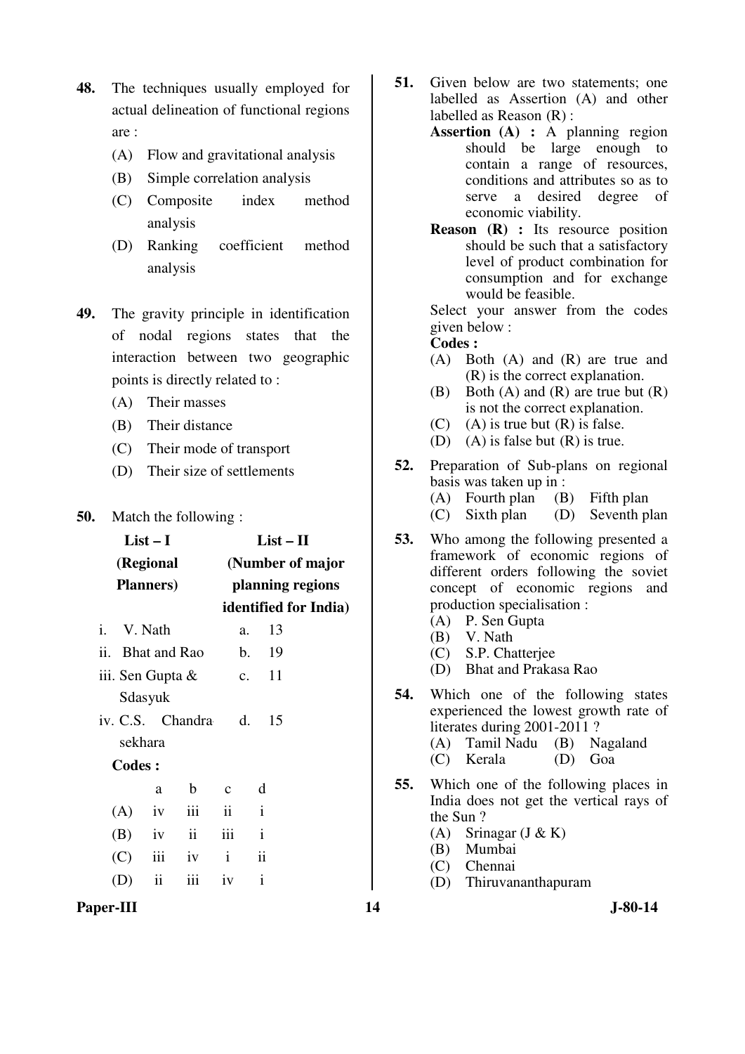- **48.** The techniques usually employed for actual delineation of functional regions are :
	- (A) Flow and gravitational analysis
	- (B) Simple correlation analysis
	- (C) Composite index method analysis
	- (D) Ranking coefficient method analysis
- **49.** The gravity principle in identification of nodal regions states that the interaction between two geographic points is directly related to :
	- (A) Their masses
	- (B) Their distance
	- (C) Their mode of transport
	- (D) Their size of settlements
- **50.** Match the following :

| $List-I$                                                | $List - II$                      | 53.                                                                  | Who among the following presented                                                                                                                                      |  |  |
|---------------------------------------------------------|----------------------------------|----------------------------------------------------------------------|------------------------------------------------------------------------------------------------------------------------------------------------------------------------|--|--|
| (Regional                                               | (Number of major                 | framework of economic regions<br>different orders following the sovi |                                                                                                                                                                        |  |  |
| <b>Planners</b> )                                       | planning regions                 |                                                                      | concept of economic regions an                                                                                                                                         |  |  |
|                                                         | identified for India)            |                                                                      | production specialisation :                                                                                                                                            |  |  |
| V. Nath<br>i.                                           | 13<br>a.                         |                                                                      | (A) P. Sen Gupta<br>V. Nath<br>(B)                                                                                                                                     |  |  |
| ii. Bhat and Rao                                        | 19<br>$\mathbf{b}$ .             |                                                                      | S.P. Chatterjee<br>(C)                                                                                                                                                 |  |  |
| iii. Sen Gupta &                                        | 11<br>c.                         |                                                                      | Bhat and Prakasa Rao<br>(D)                                                                                                                                            |  |  |
| Sdasyuk<br>iv. C.S. Chandra<br>sekhara<br><b>Codes:</b> | 15<br>d.                         | 54.                                                                  | Which one of the following state<br>experienced the lowest growth rate<br>literates during 2001-2011?<br>(A) Tamil Nadu<br>(B) Nagaland<br>Kerala<br>(D)<br>Goa<br>(C) |  |  |
| $\mathbf b$<br>a                                        | d<br>$\mathbf{C}$                | 55.                                                                  | Which one of the following places                                                                                                                                      |  |  |
| iii<br>(A)<br>iv                                        | $\ddot{\rm{11}}$<br>$\mathbf{i}$ |                                                                      | India does not get the vertical rays<br>the Sun?                                                                                                                       |  |  |
| ii<br>(B)<br>iv                                         | iii<br>$\mathbf{i}$              |                                                                      | (A)<br>Srinagar $(J & K)$                                                                                                                                              |  |  |
| iii<br>iv<br>(C)                                        | $\ddot{\rm n}$<br>$\mathbf{i}$   |                                                                      | Mumbai<br>(B)<br>Chennai<br>(C)                                                                                                                                        |  |  |
| $\rm ii$<br>iii<br>(D)                                  | $\mathbf{i}$<br>iv               |                                                                      | Thiruvananthapuram<br>(D)                                                                                                                                              |  |  |
| Paper-III                                               |                                  | 14                                                                   | $J-80-14$                                                                                                                                                              |  |  |

- **51.** Given below are two statements; one labelled as Assertion (A) and other labelled as Reason (R) :
	- **Assertion (A) :** A planning region should be large enough to contain a range of resources, conditions and attributes so as to serve a desired degree of economic viability.
	- **Reason** (R) : Its resource position should be such that a satisfactory level of product combination for consumption and for exchange would be feasible.

Select your answer from the codes given below :

- (A) Both (A) and (R) are true and (R) is the correct explanation.
- (B) Both  $(A)$  and  $(R)$  are true but  $(R)$ is not the correct explanation.
- (C) (A) is true but  $(R)$  is false.
- (D) (A) is false but  $(R)$  is true.
- **52.** Preparation of Sub-plans on regional basis was taken up in :
	- (A) Fourth plan (B) Fifth plan
	- (C) Sixth plan (D) Seventh plan
- **53.** Who among the following presented a framework of economic regions of different orders following the soviet concept of economic regions and production specialisation :
	- (A) P. Sen Gupta
	- (B) V. Nath
	- (C) S.P. Chatterjee
	- (D) Bhat and Prakasa Rao
- **54.** Which one of the following states experienced the lowest growth rate of literates during 2001-2011 ?
	- (A) Tamil Nadu (B) Nagaland  $(C)$  Kerala
- **55.** Which one of the following places in India does not get the vertical rays of
	- the Sun ?
	- (A) Srinagar  $(J & K)$
	- (B) Mumbai
	- (C) Chennai
	- (D) Thiruvananthapuram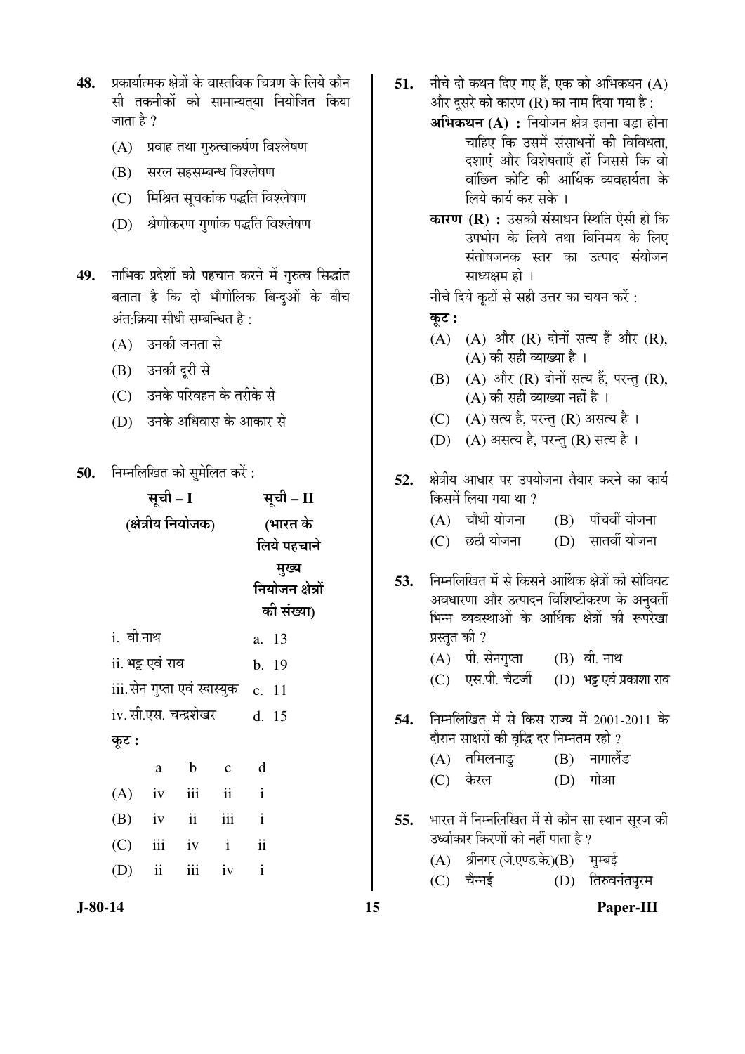- प्रकार्यात्मक क्षेत्रों के वास्तविक चित्रण के लिये कौन 48. सी तकनीकों को सामान्यतया नियोजित किया जाता है ?
	- (A) प्रवाह तथा गुरुत्वाकर्षण विश्लेषण
	- (B) सरल सहसम्बन्ध विश्लेषण
	- (C) मिश्रित सूचकांक पद्धति विश्लेषण
	- (D) श्रेणीकरण गुणांक पद्धति विश्लेषण
- नाभिक प्रदेशों की पहचान करने में गुरुत्व सिद्धांत 49. बताता है कि दो भौगोलिक बिन्दुओं के बीच अंत क्रिया सीधी सम्बन्धित है:
	- (A) उनकी जनता से
	- (B) उनकी दूरी से
	- (C) उनके परिवहन के तरीके से
	- (D) उनके अधिवास के आकार से
- निम्नलिखित को समेलित करें : 50.

|            |                          | सूची – II                    |                                             |                              |
|------------|--------------------------|------------------------------|---------------------------------------------|------------------------------|
|            |                          | (भारत के                     |                                             |                              |
|            |                          |                              |                                             | लिये पहचाने                  |
|            |                          | मुख्य                        |                                             |                              |
|            |                          |                              |                                             | नियोजन क्षेत्रों             |
|            |                          |                              |                                             | की संख्या)                   |
| i. वी.नाथ  |                          | a. 13                        |                                             |                              |
|            |                          | b. 19                        |                                             |                              |
|            |                          | c. 11                        |                                             |                              |
|            |                          |                              |                                             | d. 15                        |
|            |                          |                              |                                             |                              |
| a          | $\mathbf b$              | $\mathbf{C}$                 | d                                           |                              |
| iv         | iii                      | ii                           | $\mathbf{i}$                                |                              |
| $(B)$ iv   | $\overline{\mathbf{ii}}$ | iii                          | $\mathbf{i}$                                |                              |
| iii<br>(C) | iv                       | $\mathbf{i}$                 | ii                                          |                              |
| ii         | iii                      | iv                           | $\mathbf{i}$                                |                              |
|            |                          | सूची – I<br>ii. भट्ट एवं राव | (क्षेत्रीय नियोजक)<br>iv. सी.एस. चन्द्रशेखर | iii.सेन गुप्ता एवं स्दास्युक |

- 51. नीचे दो कथन दिए गए हैं. एक को अभिकथन (A) और दुसरे को कारण (R) का नाम दिया गया है :
	- अभिकथन (A) : नियोजन क्षेत्र इतना बड़ा होना चाहिए कि उसमें संसाधनों की विविधता. दशाएं और विशेषताएँ हों जिससे कि वो वांछित कोटि की आर्थिक व्यवहार्यता के लिये कार्य कर सके ।
	- कारण (R) : उसकी संसाधन स्थिति ऐसी हो कि उपभोग के लिये तथा विनिमय के लिए संतोषजनक स्तर का उत्पाद संयोजन साध्यक्षम हो ।

नीचे दिये कूटों से सही उत्तर का चयन करें :

### कूट:

- $(A)$   $(A)$  और  $(R)$  दोनों सत्य हैं और  $(R)$ ,  $(A)$  की सही व्याख्या है।
- (B) (A) और (R) दोनों सत्य हैं. परन्त (R), (A) की सही व्याख्या नहीं है ।
- (C) (A) सत्य है, परन्तु (R) असत्य है।
- (D) (A) असत्य है, परन्तु (R) सत्य है।
- क्षेत्रीय आधार पर उपयोजना तैयार करने का कार्य 52. किसमें लिया गया था ? (B) पाँचवीं योजना  $(A)$  चौथी योजना (D) सातवीं योजना  $(C)$  छठी योजना निम्नलिखित में से किसने आर्थिक क्षेत्रों की सोवियट 53.
- अवधारणा और उत्पादन विशिष्टीकरण के अनुवर्ती भिन्न व्यवस्थाओं के आर्थिक क्षेत्रों की रूपरेखा प्रस्तुत की ?
	- (A) पी. सेनगुप्ता (B) वी. नाथ
	- (C) एस.पी. चैटर्जी (D) भट्ट एवं प्रकाशा राव
- 54. निम्नलिखित में से किस राज्य में 2001-2011 के दौरान साक्षरों की वृद्धि दर निम्नतम रही ?
	- $(A)$  तमिलनाडु  $(B)$  नागालैंड
	- (C) केरल (D) गोआ
- भारत में निम्नलिखित में से कौन सा स्थान सूरज की 55. उर्ध्वाकार किरणों को नहीं पाता है ?
	- (A) श्रीनगर (जे.एण्ड.के.)(B) मुम्बई

15

 $(C)$  चैन्नई (D) तिरुवनंतपुरम

 $J-80-14$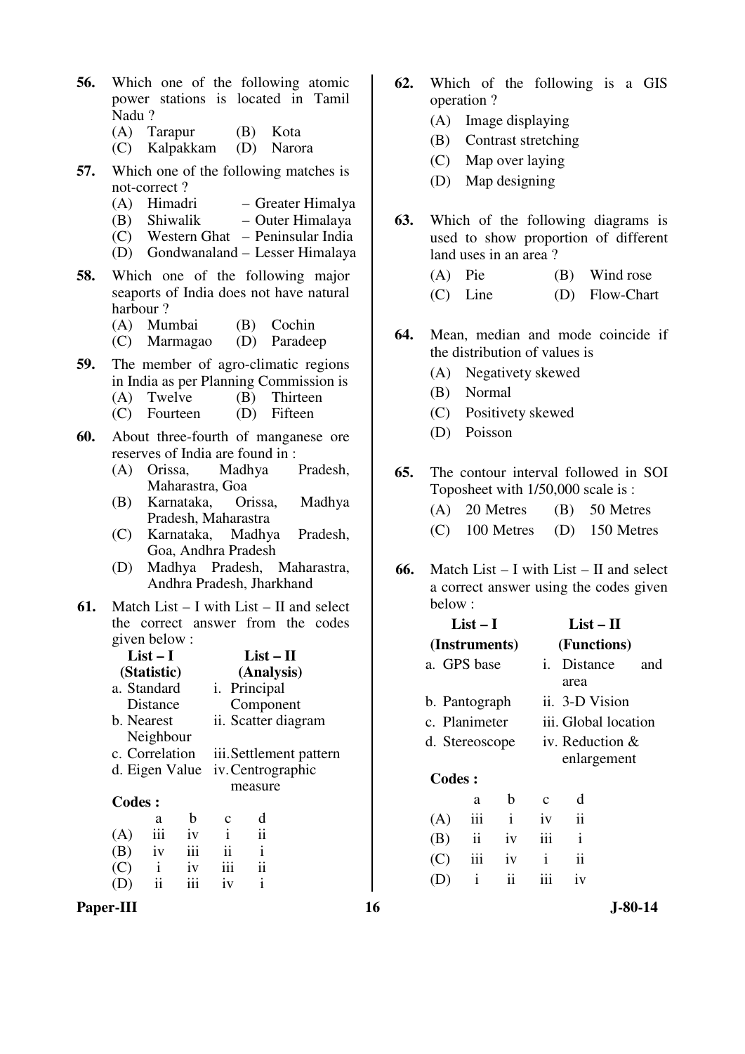|       |                          |  |  | <b>56.</b> Which one of the following atomic |
|-------|--------------------------|--|--|----------------------------------------------|
|       |                          |  |  | power stations is located in Tamil           |
| Nadu? |                          |  |  |                                              |
|       | (A) Tarapur (B) Kota     |  |  |                                              |
|       | (C) Kalpakkam (D) Narora |  |  |                                              |

- **57.** Which one of the following matches is not-correct ?
	- (A) Himadri Greater Himalya
	- (B) Shiwalik Outer Himalaya
	- $(C)$  Western Ghat Peninsular India
	- (D) Gondwanaland Lesser Himalaya
- **58.** Which one of the following major seaports of India does not have natural harbour ?
	- (A) Mumbai (B) Cochin
	- (C) Marmagao (D) Paradeep
- **59.** The member of agro-climatic regions in India as per Planning Commission is<br>(A) Twelve (B) Thirteen
	- (B) Thirteen<br>(D) Fifteen
	- $(C)$  Fourteen
- **60.** About three-fourth of manganese ore reserves of India are found in :
	- (A) Orissa, Madhya Pradesh, Maharastra, Goa
	- (B) Karnataka, Orissa, Madhya Pradesh, Maharastra
	- (C) Karnataka, Madhya Pradesh, Goa, Andhra Pradesh
	- (D) Madhya Pradesh, Maharastra, Andhra Pradesh, Jharkhand
- **61.** Match List I with List II and select the correct answer from the codes given below :

| $List-I$      |                |     |                         | $List-II$            |  |
|---------------|----------------|-----|-------------------------|----------------------|--|
|               | (Statistic)    |     |                         | (Analysis)           |  |
|               | a. Standard    |     |                         | <i>i</i> . Principal |  |
|               | Distance       |     |                         | Component            |  |
|               | b. Nearest     |     |                         | ii. Scatter diagram  |  |
|               | Neighbour      |     |                         |                      |  |
|               | c. Correlation |     | iii. Settlement pattern |                      |  |
|               | d. Eigen Value |     | iv. Centrographic       |                      |  |
|               |                |     |                         | measure              |  |
| <b>Codes:</b> |                |     |                         |                      |  |
|               | a              | b   | c                       | d                    |  |
| (A)           | iii            | iv  | $\mathbf{i}$            | ii                   |  |
| (B)           | iv             | iii | ii                      | $\mathbf{i}$         |  |
| (C)           | $\mathbf{i}$   | iv  | iii                     | ii                   |  |
| (D)           | ii             | iii | iv                      | i                    |  |

- **62.** Which of the following is a GIS operation ?
	- (A) Image displaying
	- (B) Contrast stretching
	- (C) Map over laying
	- (D) Map designing
- **63.** Which of the following diagrams is used to show proportion of different land uses in an area ?
	- (A) Pie (B) Wind rose
	- (C) Line (D) Flow-Chart
- **64.** Mean, median and mode coincide if the distribution of values is
	- (A) Negativety skewed
	- (B) Normal
	- (C) Positivety skewed
	- (D) Poisson
- **65.** The contour interval followed in SOI Toposheet with 1/50,000 scale is :
	- (A) 20 Metres (B) 50 Metres (C) 100 Metres (D) 150 Metres
- **66.** Match List I with List II and select a correct answer using the codes given below :

|               | $List-I$       |              |              | $List-II$            |     |  |  |
|---------------|----------------|--------------|--------------|----------------------|-----|--|--|
|               | (Instruments)  |              |              | (Functions)          |     |  |  |
|               | a. GPS base    |              |              | Distance             | and |  |  |
|               |                |              |              | area                 |     |  |  |
| b. Pantograph |                |              |              | ii. 3-D Vision       |     |  |  |
|               | c. Planimeter  |              |              | iii. Global location |     |  |  |
|               | d. Stereoscope |              |              | iv. Reduction $\&$   |     |  |  |
|               |                |              |              | enlargement          |     |  |  |
| Codes:        |                |              |              |                      |     |  |  |
|               | a              | h            | C            | d                    |     |  |  |
| (A)           | iii            | $\mathbf{i}$ | iv           | $\ddot{i}$           |     |  |  |
| (B)           | $\mathbf{ii}$  | iv           | iii          | $\mathbf{i}$         |     |  |  |
| (C)           | iii            | iv           | $\mathbf{i}$ | ii                   |     |  |  |
|               | i              | ii           | iii          | iv                   |     |  |  |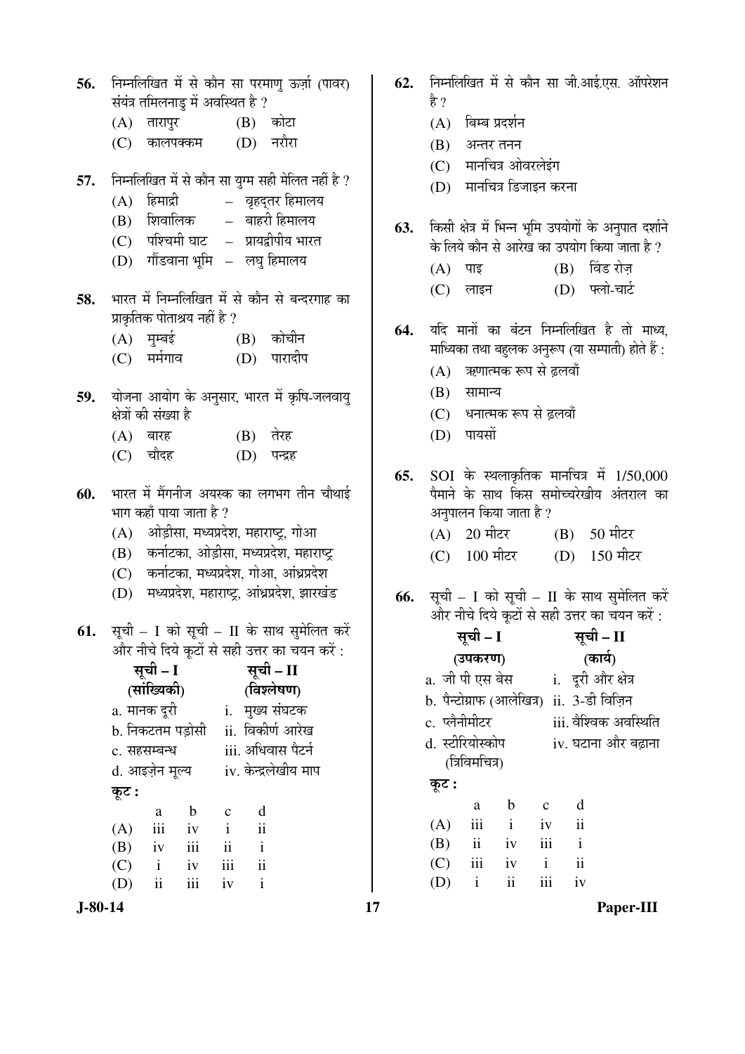| 56. निम्नलिखित में से कौन सा परमाणु ऊर्ज़ा (पावर) |
|---------------------------------------------------|
| संयंत्र तमिलनाडु में अवस्थित है ?                 |

- (A) तारापुर (B) कोटा
- (C) कालपक्कम (D) नरौरा
- **57.** निम्नलिखित में से कौन सा युग्म सही मेलित नहीं है ?
	- $(A)$  हिमाद्री वृहद्तर हिमालय
	- $(B)$  शिवालिक बाहरी हिमालय
	- $(C)$  पश्चिमी घाट प्रायद्वीपीय भारत
	- (D) गोंडवाना भूमि लघु हिमालय
- 58. भारत में निम्नलिखित में से कौन से बन्दरगाह का प्राकृतिक पोताश्रय नहीं है ?
	- (A) मुम्बई (B) कोचीन
	- (C) मर्मगाव (D) पारादीप
- 59. योजना आयोग के अनुसार, भारत में कृषि-जलवायु क्षेत्रों की संख्या है
	- $(A)$  बारह  $(B)$  तेरह
	- (C) चौदह (D) पन्द्रह
- **60.** भारत में मैंगनीज अयस्क का लगभग तीन चौथाई भाग कहाँ पाया जाता है ?
	- $(A)$  ओड़ीसा, मध्यप्रदेश, महाराष्ट्र, गोआ
	- (B) कर्नाटका, ओड़ीसा, मध्यप्रदेश, महाराष्ट्र
	- (C) कर्नाटका, मध्यप्रदेश, गोआ, आंध्रप्रदेश
	- (D) मध्यप्रदेश, महाराष्ट्र, आंध्रप्रदेश, झारखंड
- **61.** सूची I को सूची II के साथ सुमेलित करें और नीचे दिये कुटों से सही उत्तर का चयन करें :

|       | सूची – I                    |                  |              |                      | सूची - II |  |
|-------|-----------------------------|------------------|--------------|----------------------|-----------|--|
|       | (सांख्यिकी)                 |                  |              | (विश्लेषण)           |           |  |
|       | a. मानक दूरी                |                  | i.           | मुख्य संघटक          |           |  |
|       |                             | b. निकटतम पड़ोसी |              | ii. विकीर्ण आरेख     |           |  |
|       | c. सहसम्बन्ध                |                  |              | iii. अधिवास पैटर्न   |           |  |
|       | d. आइज़ेन मूल्य             |                  |              | iv. केन्द्रलेखीय माप |           |  |
| कूट : |                             |                  |              |                      |           |  |
|       | a                           | b                | C            | d                    |           |  |
| (A)   | iii                         | iv               | $\mathbf{i}$ | $\ddot{\mathbf{i}}$  |           |  |
| (B)   | iv                          | iii              | ii           | $\mathbf{i}$         |           |  |
| (C)   | $\mathbf{i}$                | iv               | iii          | ii                   |           |  |
| (D)   | $\ddot{\rm{1}}\dot{\rm{1}}$ | iii              | iv           | $\mathbf{i}$         |           |  |

- 62. निम्नलिखित में से कौन सा जी.आई.एस. ऑपरेशन हे ?
	- $(A)$  बिम्ब प्रदर्शन
	- $(B)$  अन्तर तनन
	- (C) मानचित्र ओवरलेइंग
	- (D) मानचित्र डिजाइन करना
- 63. किसी क्षेत्र में भिन्न भमि उपयोगों के अनपात दर्शाने के लिये कौन से आरेख का उपयोग किया जाता है ?
	- $(A)$  पाइ  $(B)$  विंड रोज़
	- (C) लाइन (D) फ्लो-चार्ट
- 64. यदि मानों का बंटन निम्नलिखित है तो माध्य, माध्यिका तथा बहलक अनुरूप (या सम्पाती) होते हैं :
	- (A) ऋणात्मक रूप से ढलवाँ
	- $(B)$  सामान्य
	- (C) धनात्मक रूप से ढलवाँ
	- $(D)$  पायसों
- **65.** SOI के स्थलाकृतिक मानचित्र में 1/50,000 पैमाने के साथ किस समोच्चरेखीय अंतराल का अनुपालन किया जाता है ?
	- $(A)$  20 मीटर  $(B)$  50 मीटर
	- $(C)$  100 मीटर (D) 150 मीटर
- **66.** सूची I को सूची II के साथ सुमेलित करें और नीचे दिये कटों से सही उत्तर का चयन करें :

|                  | सूची – I            |              |              |                                            | सूची – II             |
|------------------|---------------------|--------------|--------------|--------------------------------------------|-----------------------|
|                  | (उपकरण)             |              |              | (कार्य)                                    |                       |
| a. जी पी एस बेस  |                     |              |              | i. दूरी और क्षेत्र                         |                       |
|                  |                     |              |              | b. पैन्टोग्राफ (आलेखित्र)  ii. 3-डी विज़िन |                       |
| c. प्लेनीमीटर    |                     |              |              |                                            | iii. वैश्विक अवस्थिति |
| d. स्टीरियोस्कोप |                     |              |              |                                            | iv. घटाना और बढ़ाना   |
|                  | (त्रिविमचित्र)      |              |              |                                            |                       |
| कूट :            |                     |              |              |                                            |                       |
|                  | a                   | b            | $\mathbf{c}$ | d                                          |                       |
| (A)              | iii                 | $\mathbf{i}$ | iv           | $\overline{\mathbf{u}}$                    |                       |
| (B)              | $\ddot{\mathbf{i}}$ | iv           | iii          | $\mathbf{i}$                               |                       |
| (C)              | iii                 | iv           | $\mathbf{i}$ | ii                                         |                       |

(D) i ii iii iv

**J-80-14 17 Paper-III**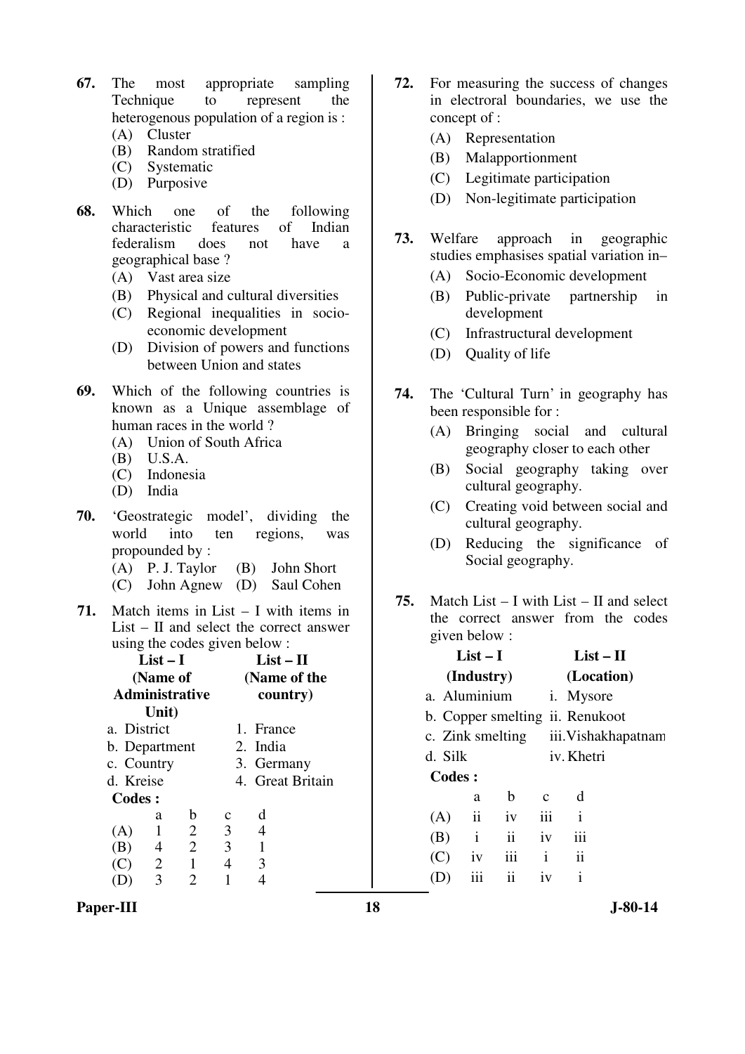- **67.** The most appropriate sampling Technique to represent the heterogenous population of a region is :
	- (A) Cluster
	- (B) Random stratified
	- (C) Systematic
	- (D) Purposive
- **68.** Which one of the following characteristic features of Indian characteristic features of Indian federalism does not have a geographical base ?
	- (A) Vast area size
	- (B) Physical and cultural diversities
	- (C) Regional inequalities in socioeconomic development
	- (D) Division of powers and functions between Union and states
- **69.** Which of the following countries is known as a Unique assemblage of human races in the world ?
	- (A) Union of South Africa
	- (B) U.S.A.
	- (C) Indonesia
	- (D) India
- **70.** 'Geostrategic model', dividing the world into ten regions, was propounded by :
	- (A) P. J. Taylor (B) John Short
	- (C) John Agnew (D) Saul Cohen
- **71.** Match items in List I with items in List – II and select the correct answer using the codes given below :

|                       | $List-I$       |                | $List-II$      |                  |  |  |
|-----------------------|----------------|----------------|----------------|------------------|--|--|
|                       | (Name of       |                | (Name of the   |                  |  |  |
| <b>Administrative</b> |                |                | country)       |                  |  |  |
|                       | Unit)          |                |                |                  |  |  |
| a. District           |                |                |                | 1. France        |  |  |
| b. Department         |                |                |                | 2. India         |  |  |
|                       | c. Country     |                |                | 3. Germany       |  |  |
| d. Kreise             |                |                |                | 4. Great Britain |  |  |
| <b>Codes:</b>         |                |                |                |                  |  |  |
|                       | a              | b              | с              | d                |  |  |
| (A)                   |                | $\overline{2}$ | 3 <sup>1</sup> | 4                |  |  |
| (B)                   | 4              | 2              | 3              |                  |  |  |
| $\mathcal{C}$         | $\overline{2}$ | 1              | 4              | 3                |  |  |
|                       | 3              | 2              |                |                  |  |  |

- **72.** For measuring the success of changes in electroral boundaries, we use the concept of :
	- (A) Representation
	- (B) Malapportionment
	- (C) Legitimate participation
	- (D) Non-legitimate participation
- **73.** Welfare approach in geographic studies emphasises spatial variation in–
	- (A) Socio-Economic development
	- (B) Public-private partnership in development
	- (C) Infrastructural development
	- (D) Quality of life
- **74.** The 'Cultural Turn' in geography has been responsible for :
	- (A) Bringing social and cultural geography closer to each other
	- (B) Social geography taking over cultural geography.
	- (C) Creating void between social and cultural geography.
	- (D) Reducing the significance of Social geography.
- **75.** Match List I with List II and select the correct answer from the codes given below :

| $List-I$                        |                     |               |              |                     | $List-II$           |
|---------------------------------|---------------------|---------------|--------------|---------------------|---------------------|
|                                 | (Industry)          |               |              |                     | (Location)          |
| a. Aluminium                    |                     |               |              | <i>i</i> . Mysore   |                     |
| b. Copper smelting ii. Renukoot |                     |               |              |                     |                     |
| c. Zink smelting                |                     |               |              |                     | iii. Vishakhapatnam |
| d. Silk                         |                     |               |              | iv. Khetri          |                     |
| <b>Codes:</b>                   |                     |               |              |                     |                     |
|                                 | a                   | b             | $\mathbf{c}$ | d                   |                     |
| (A)                             | $\ddot{\mathbf{i}}$ | iv            | iii          | i                   |                     |
| (B)                             | $\mathbf{i}$        | $\mathbf{ii}$ | iv           | iii                 |                     |
| (C)                             | iv                  | iii           | $\mathbf{i}$ | $\ddot{\mathbf{i}}$ |                     |
|                                 | iii                 | ii            | iv           | i                   |                     |
|                                 |                     |               |              |                     |                     |

Paper-III **18** J-80-14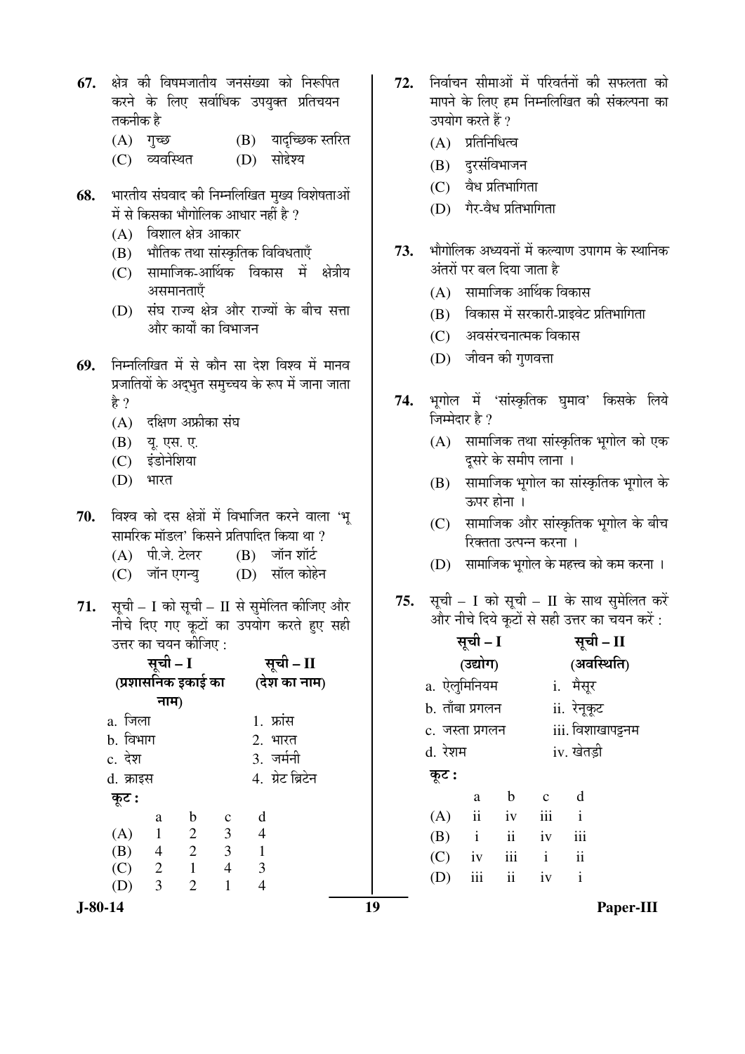- 67. क्षेत्र की विषमजातीय जनसंख्या को निरूपित करने के लिए सर्वाधिक उपयुक्त प्रतिचयन तकनीक है
	- $(A)$  गुच्छ (B) यादृच्छिक स्तरित
	- (C) व्यवस्थित  $(D)$  सोहेश्य
- भारतीय संघवाद की निम्नलिखित मुख्य विशेषताओं 68. में से किसका भौगोलिक आधार नहीं है ?
	- $(A)$  विशाल क्षेत्र आकार
	- (B) भौतिक तथा सांस्कृतिक विविधताएँ
	- (C) सामाजिक-आर्थिक विकास में क्षेत्रीय असमानताएँ
	- (D) संघ राज्य क्षेत्र और राज्यों के बीच सत्ता और कार्यों का विभाजन
- निम्नलिखित में से कौन सा देश विश्व में मानव 69. प्रजातियों के अद्भुत समुच्चय के रूप में जाना जाता है ?
	- $(A)$  दक्षिण अफ्रीका संघ
	- (B) यू. एस. ए.
	- (C) इंडोनेशिया
	- (D) भारत
- विश्व को दस क्षेत्रों में विभाजित करने वाला 'भू 70. सामरिक मॉडल' किसने प्रतिपादित किया था ?
	- (A) पी.जे. टेलर  $(B)$  जॉन शॉर्ट
	- (C) जॉन एगन्यू  $(D)$  सॉल कोहेन
- सूची I को सूची II से सुमेलित कीजिए और 71. नीचे दिए गए कूटों का उपयोग करते हुए सही उत्तर का चयन कीजिए  $\cdot$

|           | सूची – I       |                    | सूची - II      |                  |  |
|-----------|----------------|--------------------|----------------|------------------|--|
|           |                | (प्रशासनिक इकाई का |                | (देश का नाम)     |  |
|           | नाम)           |                    |                |                  |  |
| a. जिला   |                |                    |                | 1. फ्रांस        |  |
| b. विभाग  |                |                    |                | 2. भारत          |  |
| c. देश    |                |                    |                | 3. जर्मनी        |  |
| d. क्राइस |                |                    |                | 4. ग्रेट ब्रिटेन |  |
| कूट :     |                |                    |                |                  |  |
|           | a              | b                  | $\mathbf{C}$   | d                |  |
| (A)       | $\mathbf{1}$   | 2                  | 3 <sup>1</sup> | $\overline{4}$   |  |
| (B)       | $\overline{4}$ | $\overline{c}$     | $\overline{3}$ | $\mathbf{1}$     |  |
| (C)       | 2              | 1                  | 4              | 3                |  |
| (D)       | 3              | 2                  |                |                  |  |

 $J-80-14$ 

- निर्वाचन सीमाओं में परिवर्तनों की सफलता को 72. मापने के लिए हम निम्नलिखित की संकल्पना का उपयोग करते हैं ?
	- $(A)$  प्रतिनिधित्व
	- (B) दुरसंविभाजन
	- $(C)$  वैध प्रतिभागिता
	- (D) गैर-वैध प्रतिभागिता
- भौगोलिक अध्ययनों में कल्याण उपागम के स्थानिक 73. अंतरों पर बल दिया जाता है
	- (A) सामाजिक आर्थिक विकास
	- (B) विकास में सरकारी-प्राइवेट प्रतिभागिता
	- (C) अवसंरचनात्मक विकास
	- (D) जीवन की गुणवत्ता
- भूगोल में 'सांस्कृतिक घुमाव' किसके लिये 74. जिम्मेदार है ?
	- (A) सामाजिक तथा सांस्कृतिक भूगोल को एक दसरे के समीप लाना ।
	- (B) सामाजिक भूगोल का सांस्कृतिक भूगोल के ऊपर होना ।
	- (C) सामाजिक और सांस्कृतिक भूगोल के बीच रिक्तता उत्पन्न करना ।
	- (D) सामाजिक भूगोल के महत्त्व को कम करना ।
- सूची I को सूची II के साथ सुमेलित करें 75. और नीचे दिये कूटों से सही उत्तर का चयन करें :

|                 | सूची – I     |               |              | सूची – II         |  |  |  |
|-----------------|--------------|---------------|--------------|-------------------|--|--|--|
|                 | (उद्योग)     |               | (अवस्थिति)   |                   |  |  |  |
| a. ऐलुमिनियम    |              |               |              | i. मैसूर          |  |  |  |
| b. ताँबा प्रगलन |              |               |              | ii. रेनूकूट       |  |  |  |
| c. जस्ता प्रगलन |              |               |              | iii. विशाखापट्टनम |  |  |  |
| d. रेशम         |              |               |              | iv. खेतड़ी        |  |  |  |
| कूट :           |              |               |              |                   |  |  |  |
|                 | a            | h             | $\mathbf c$  | d                 |  |  |  |
| (A)             | ii           | iv            | iii          | $\mathbf{i}$      |  |  |  |
| (B)             | $\mathbf{i}$ | $\mathbf{ii}$ | iv           | iii               |  |  |  |
| (C)             | iv           | iii           | $\mathbf{i}$ | ii                |  |  |  |
| (D)             | iii          | $\ddot{i}$    | iv           | $\mathbf{i}$      |  |  |  |
|                 |              |               |              |                   |  |  |  |